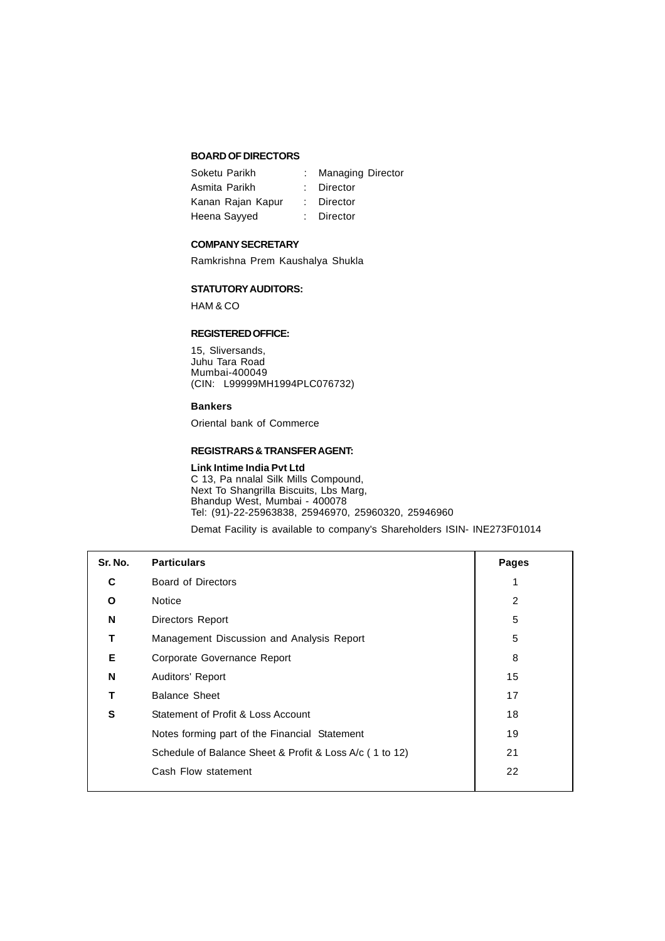## **BOARD OF DIRECTORS**

| Soketu Parikh     | <b>Managing Director</b> |
|-------------------|--------------------------|
| Asmita Parikh     | : Director               |
| Kanan Rajan Kapur | : Director               |
| Heena Sayyed      | : Director               |

### **COMPANY SECRETARY**

Ramkrishna Prem Kaushalya Shukla

## **STATUTORY AUDITORS:**

HAM & CO

### **REGISTERED OFFICE:**

15, Sliversands, Juhu Tara Road Mumbai-400049 (CIN: L99999MH1994PLC076732)

### **Bankers**

Oriental bank of Commerce

## **REGISTRARS & TRANSFER AGENT:**

### **Link Intime India Pvt Ltd**

C 13, Pa nnalal Silk Mills Compound, Next To Shangrilla Biscuits, Lbs Marg, Bhandup West, Mumbai - 400078 Tel: (91)-22-25963838, 25946970, 25960320, 25946960

Demat Facility is available to company's Shareholders ISIN- INE273F01014

| Sr. No. | <b>Particulars</b>                                      | Pages |
|---------|---------------------------------------------------------|-------|
| C       | Board of Directors                                      |       |
| O       | <b>Notice</b>                                           | 2     |
| N       | Directors Report                                        | 5     |
| т       | Management Discussion and Analysis Report               | 5     |
| Е       | Corporate Governance Report                             | 8     |
| N       | Auditors' Report                                        | 15    |
| т       | <b>Balance Sheet</b>                                    | 17    |
| S       | Statement of Profit & Loss Account                      | 18    |
|         | Notes forming part of the Financial Statement           | 19    |
|         | Schedule of Balance Sheet & Profit & Loss A/c (1 to 12) | 21    |
|         | Cash Flow statement                                     | 22    |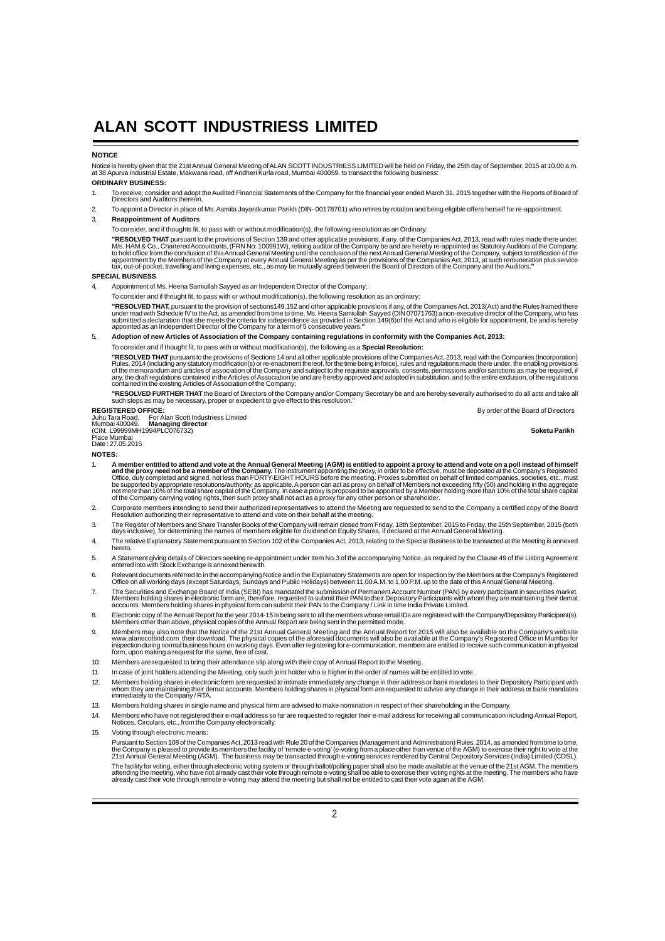#### **NOTICE**

Notice is hereby given that the 21st Annual General Meeting of ALAN SCOTT INDUSTRIESS LIMITED will be held on Friday, the 25th day of September, 2015 at 10.00 a.m.<br>at 38 Apurva Industrial Estate, Makwana road, off Andheri

## **ORDINARY BUSINESS:**

- 1. To receive, consider and adopt the Audited Financial Statements of the Company for the financial year ended March 31, 2015 together with the Reports of Board of<br>Directors and Auditors thereon.
- 2. To appoint a Director in place of Ms. Asmita Jayantkumar Parikh (DIN- 00178701) who retires by rotation and being eligible offers herself for re-appointment. 3. **Reappointment of Auditors**
	- To consider, and if thoughts fit, to pass with or without modification(s), the following resolution as an Ordinary:

"RESOLVED THAT pursuant to the provisions of Section 139 and other applicable provisions, if any, of the Companies Act, 2013, read with rules made there under,<br>M/s. HAM & Co., Chartered Accountants, (FRN No: 100991W), reti

### **SPECIAL BUSINESS**

4. Appointment of Ms. Heena Samiullah Sayyed as an Independent Director of the Company:

To consider and if thought fit, to pass with or without modification(s), the following resolution as an ordinary:

**"RESOLVED THAT,** pursuant to the provision of sections149,152 and other applicable provisions if any, of the Companies Act, 2013(Act) and the Rules framed there<br>under read with Schedule IV to the Act, as amended from time

5. **Adoption of new Articles of Association of the Company containing regulations in conformity with the Companies Act, 2013:**

To consider and if thought fit, to pass with or without modification(s), the following as a **Special Resolution:**

**"RESOLVED THAT** pursuant to the provisions of Sections 14 and all other applicable provisions of the Companies Act, 2013, read with the Companies (Incorporation)<br>Rules, 2014 (including any statutory modification(s) or recontained in the existing Articles of Association of the Company;

**"RESOLVED FURTHER THAT** the Board of Directors of the Company and/or Company Secretary be and are hereby severally authorised to do all acts and take all<br>such steps as may be necessary, proper or expedient to give effect

**REGISTERED OFFICE:** By order of the Board of Directors Juhu Tara Road, For Alan Scott Industriess Limited Mumbai 400049. **Managing director** (CIN: L99999MH1994PLC076732) **Soketu Parikh** Place Mumbai

Date : 27.05.2015

**NOTES:**

- 1. A member entitled to attend and vote at the Annual General Meeting (AGM) is entitled to appoint a proxy to attend and vote on a poll instead of himself<br>and the proxy need not be a member of the Company. The instrument a
- 2. Corporate members intending to send their authorized representatives to attend the Meeting are requested to send to the Company a certified copy of the Board<br>Resolution authorizing their representative to attend and vot
- 3. The Register of Members and Share Transfer Books of the Company will remain closed from Friday, 18th September, 2015 to Friday, the 25th September, 2015 (both<br>days inclusive), for determining the names of members eligib
- 4. The relative Explanatory Statement pursuant to Section 102 of the Companies Act, 2013, relating to the Special Business to be transacted at the Meeting is annexed hereto.
- 5. A Statement giving details of Directors seeking re-appointment under Item No.3 of the accompanying Notice, as required by the Clause 49 of the Listing Agreement entered into with Stock Exchange is annexed herewith.
- 6. Relevant documents referred to in the accompanying Notice and in the Explanatory Statements are open for Inspection by the Members at the Company's Registered<br>Office on all working days (except Saturdays, Sundays and Pu
- 7. The Securities and Exchange Board of India (SEBI) has mandated the submission of Permanent Account Number (PAN) by every participant in securities market.<br>Members holding shares in electronic form are, therefore, reques
- 8. Electronic copy of the Annual Report for the year 2014-15 is being sent to all the members whose email IDs are registered with the Company/Depository Participant(s).<br>Members other than above, physical copies of the Annu
- 9. Members may also note that the Notice of the 21st Annual General Meeting and the Annual Report for 2015 will also be available on the Company's website<br>www.alanscottind.com their download. The physical copies of the afo
- 10. Members are requested to bring their attendance slip along with their copy of Annual Report to the Meeting.
- 11. In case of joint holders attending the Meeting, only such joint holder who is higher in the order of names will be entitled to vote.
- 12. Members holding shares in electronic form are requested to intimate immediately any change in their address or bank mandates to their Depository Participant with<br>whom they are maintaining their demax accounts. Members
- 13. Members holding shares in single name and physical form are advised to make nomination in respect of their shareholding in the Company.
- 14. Members who have not registered their e-mail address so far are requested to register their e-mail address for receiving all communication including Annual Report, Notices, Circulars, etc., from the Company electronically.
- 15. Voting through electronic means:

Pursuant to Section 108 of the Companies Act, 2013 read with Rule 20 of the Companies (Management and Administration) Rules, 2014, as amended from time to time,<br>the Company is pleased to provide its members the facility of The facility for voting, either through electronic voting system or through ballot/polling paper shall also be made available at the venue of the 21st AGM. The members<br>attending the meeting, who have not already cast their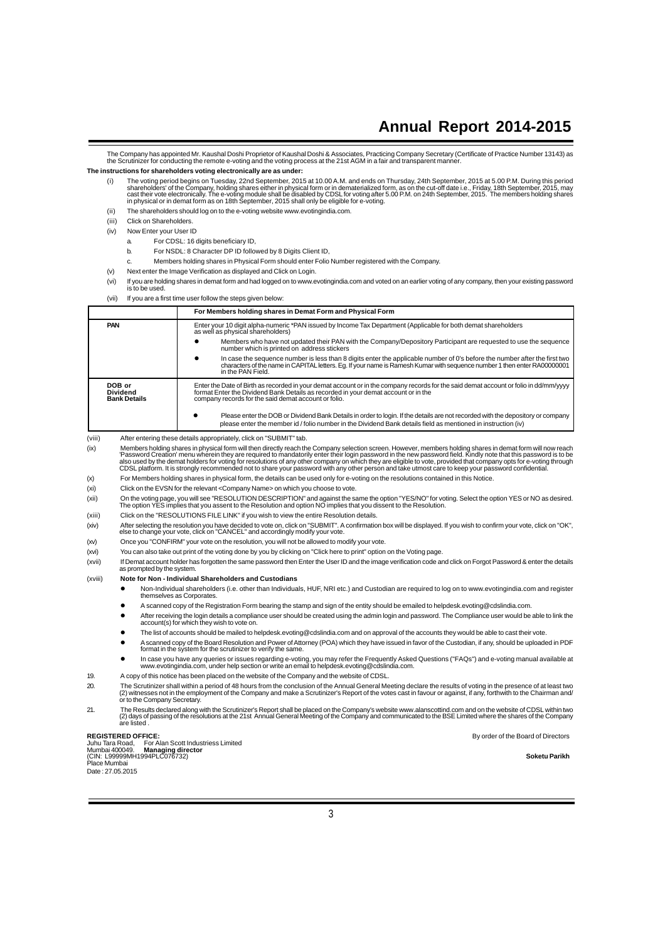The Company has appointed Mr. Kaushal Doshi Proprietor of Kaushal Doshi & Associates, Practicing Company Secretary (Certificate of Practice Number 13143) as<br>the Scrutinizer for conducting the remote e-voting and the voting

### **The instructions for shareholders voting electronically are as under:**

- (i) The voting period begins on Tuesday, 22nd September, 2015 at 10.00 A.M. and ends on Thursday, 24th September, 2015 at 5.00 P.M. During this period<br>share holders of the Company, holding shares either in physical form or
- (ii) The shareholders should log on to the e-voting website www.evotingindia.com.
- (iii) Click on Shareholders.
- (iv) Now Enter your User ID
	- For CDSL: 16 digits beneficiary ID,
	- b. For NSDL: 8 Character DP ID followed by 8 Digits Client ID,
	- c. Members holding shares in Physical Form should enter Folio Number registered with the Company.
- (v) Next enter the Image Verification as displayed and Click on Login.
- (vi) If you are holding shares in demat form and had logged on to www.evotingindia.com and voted on an earlier voting of any company, then your existing password is to be used.
- (vii) If you are a first time user follow the steps given below:

|        |                                                                                                                                                                                                                                                                              | For Members holding shares in Demat Form and Physical Form                                                                                                                                                                                                                                                                                                                                                                                                                                                                                                                                                                                                  |  |
|--------|------------------------------------------------------------------------------------------------------------------------------------------------------------------------------------------------------------------------------------------------------------------------------|-------------------------------------------------------------------------------------------------------------------------------------------------------------------------------------------------------------------------------------------------------------------------------------------------------------------------------------------------------------------------------------------------------------------------------------------------------------------------------------------------------------------------------------------------------------------------------------------------------------------------------------------------------------|--|
|        | PAN                                                                                                                                                                                                                                                                          | Enter your 10 digit alpha-numeric *PAN issued by Income Tax Department (Applicable for both demat shareholders<br>as well as physical shareholders)                                                                                                                                                                                                                                                                                                                                                                                                                                                                                                         |  |
|        |                                                                                                                                                                                                                                                                              | Members who have not updated their PAN with the Company/Depository Participant are requested to use the sequence<br>number which is printed on address stickers                                                                                                                                                                                                                                                                                                                                                                                                                                                                                             |  |
|        |                                                                                                                                                                                                                                                                              | In case the sequence number is less than 8 digits enter the applicable number of 0's before the number after the first two<br>characters of the name in CAPITAL letters. Eq. If your name is Ramesh Kumar with sequence number 1 then enter RA00000001<br>in the PAN Field.                                                                                                                                                                                                                                                                                                                                                                                 |  |
|        | DOB or<br><b>Dividend</b><br><b>Bank Details</b>                                                                                                                                                                                                                             | Enter the Date of Birth as recorded in your demat account or in the company records for the said demat account or folio in dd/mm/yyyy<br>format Enter the Dividend Bank Details as recorded in your demat account or in the<br>company records for the said demat account or folio.                                                                                                                                                                                                                                                                                                                                                                         |  |
|        |                                                                                                                                                                                                                                                                              | Please enter the DOB or Dividend Bank Details in order to login. If the details are not recorded with the depository or company<br>please enter the member id / folio number in the Dividend Bank details field as mentioned in instruction (iv)                                                                                                                                                                                                                                                                                                                                                                                                            |  |
| (viii) |                                                                                                                                                                                                                                                                              | After entering these details appropriately, click on "SUBMIT" tab.                                                                                                                                                                                                                                                                                                                                                                                                                                                                                                                                                                                          |  |
| (ix)   |                                                                                                                                                                                                                                                                              | Members holding shares in physical form will then directly reach the Company selection screen. However, members holding shares in demat form will now reach<br>'Password Creation' menu wherein they are required to mandatorily enter their login password in the new password field. Kindly note that this password is to be<br>also used by the demat holders for voting for resolutions of any other company on which they are eligible to vote, provided that company opts for e-voting through<br>CDSL platform. It is strongly recommended not to share your password with any other person and take utmost care to keep your password confidential. |  |
| (x)    |                                                                                                                                                                                                                                                                              | For Members holding shares in physical form, the details can be used only for e-voting on the resolutions contained in this Notice.                                                                                                                                                                                                                                                                                                                                                                                                                                                                                                                         |  |
| (xi)   |                                                                                                                                                                                                                                                                              | Click on the EVSN for the relevant <company name=""> on which you choose to vote.</company>                                                                                                                                                                                                                                                                                                                                                                                                                                                                                                                                                                 |  |
| (xii)  | On the voting page, you will see "RESOLUTION DESCRIPTION" and against the same the option "YES/NO" for voting. Select the option YES or NO as desired.<br>The option YES implies that you assent to the Resolution and option NO implies that you dissent to the Resolution. |                                                                                                                                                                                                                                                                                                                                                                                                                                                                                                                                                                                                                                                             |  |
| (xiii) | Click on the "RESOLUTIONS FILE LINK" if you wish to view the entire Resolution details.                                                                                                                                                                                      |                                                                                                                                                                                                                                                                                                                                                                                                                                                                                                                                                                                                                                                             |  |
| (xiv)  | After selecting the resolution you have decided to vote on, click on "SUBMIT". A confirmation box will be displayed. If you wish to confirm your vote, click on "OK",<br>else to change your vote, click on "CANCEL" and accordingly modify your vote.                       |                                                                                                                                                                                                                                                                                                                                                                                                                                                                                                                                                                                                                                                             |  |
| (xv)   |                                                                                                                                                                                                                                                                              | Once you "CONFIRM" your vote on the resolution, you will not be allowed to modify your vote.                                                                                                                                                                                                                                                                                                                                                                                                                                                                                                                                                                |  |

- (xvi) You can also take out print of the voting done by you by clicking on "Click here to print" option on the Voting page.
- (xvii) If Demat account holder has forgotten the same password then Enter the User ID and the image verification code and click on Forgot Password & enter the details
	- as prompted by the system.
- (xviii) **Note for Non Individual Shareholders and Custodians**
	- z Non-Individual shareholders (i.e. other than Individuals, HUF, NRI etc.) and Custodian are required to log on to www.evotingindia.com and register themselves as Corporates.
	- A scanned copy of the Registration Form bearing the stamp and sign of the entity should be emailed to helpdesk.evoting@cdslindia.com.
	- After receiving the login details a compliance user should be created using the admin login and password. The Compliance user would be able to link the account(s) for which they wish to vote on.
	- The list of accounts should be mailed to helpdesk.evoting@cdslindia.com and on approval of the accounts they would be able to cast their vote
	- z A scanned copy of the Board Resolution and Power of Attorney (POA) which they have issued in favor of the Custodian, if any, should be uploaded in PDF format in the system for the scrutinizer to verify the same.
	- In case you have any queries or issues regarding e-voting, you may refer the Frequently Asked Questions ("FAQs") and e-voting manual available at<br>In case you have any queries or issues regarding e-voting, you may refer the
- 19. A copy of this notice has been placed on the website of the Company and the website of CDSL.
- 20. The Scrutinizer shall within a period of 48 hours from the conclusion of the Annual General Meeting declare the results of voting in the presence of at least two<br>(2) witnesses not in the employment of the Company and m
- 21. The Results declared along with the Scrutinizer's Report shall be placed on the Company's website www.alanscottind.com and on the website of CDSL within two<br>(2) days of passing of the resolutions at the 21st Annual Gen

| <b>REGISTERED OFFICE:</b>                          | By order of the Board of Directors |
|----------------------------------------------------|------------------------------------|
| Juhu Tara Road. For Alan Scott Industriess Limited |                                    |
| Mumbai 400049. Managing director                   |                                    |
| (CIN: L99999MH1994PLC076732)                       | Soketu Parikh                      |
| Place Mumbai                                       |                                    |
| Data.27050045                                      |                                    |

Date : 27.05.2015

3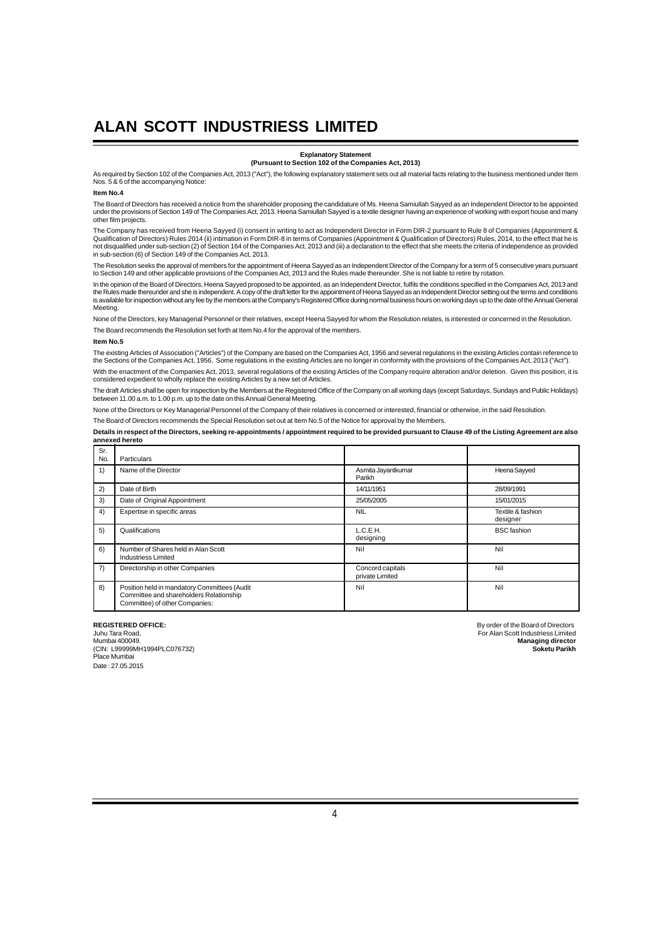#### **Explanatory Statement (Pursuant to Section 102 of the Companies Act, 2013)**

As required by Section 102 of the Companies Act, 2013 ("Act"), the following explanatory statement sets out all material facts relating to the business mentioned under Item Nos. 5 & 6 of the accompanying Notice:

#### **Item No.4**

The Board of Directors has received a notice from the shareholder proposing the candidature of Ms. Heena Samiullah Sayyed as an Independent Director to be appointed under the provisions of Section 149 of The Companies Act, 2013. Heena Samiullah Sayyed is a textile designer having an experience of working with export house and many other film projects.

The Company has received from Heena Sayyed (i) consent in writing to act as Independent Director in Form DIR-2 pursuant to Rule 8 of Companies (Appointment &<br>Qualification of Directors) Rules 2014 (ii) intimation in Form D not disqualified under sub-section (2) of Section 164 of the Companies Act, 2013 and (iii) a declaration to the effect that she meets the criteria of independence as provided<br>in sub-section (6) of Section 149 of the Compan

The Resolution seeks the approval of members for the appointment of Heena Sayyed as an Independent Director of the Company for a term of 5 consecutive years pursuant<br>to Section 149 and other applicable provisions of the Co

In the opinion of the Board of Directors, Heena Sayyed proposed to be appointed, as an Independent Director, fulfils the conditions specified in the Companies Act, 2013 and the Rules made thereunder and she is independent. A copy of the draft letter for the appointment of Heena Sayyed as an Independent Director setting out the terms and conditions<br>is available for inspection without any fee b Meeting.

None of the Directors, key Managerial Personnel or their relatives, except Heena Sayyed for whom the Resolution relates, is interested or concerned in the Resolution. The Board recommends the Resolution set forth at Item No.4 for the approval of the members.

#### **Item No.5**

The existing Articles of Association ("Articles") of the Company are based on the Companies Act, 1956 and several requlations in the existing Articles contain reference to the Sections of the Companies Act, 1956. Some regulations in the existing Articles are no longer in conformity with the provisions of the Companies Act, 2013 ("Act"). With the enactment of the Companies Act, 2013, several regulations of the existing Articles of the Company require alteration and/or deletion. Given this position, it is

considered expedient to wholly replace the existing Articles by a new set of Articles. The draft Articles shall be open for inspection by the Members at the Registered Office of the Company on all working days (except Saturdays, Sundays and Public Holidays)<br>between 11.00 a.m. to 1.00 p.m. up to the date on t

None of the Directors or Key Managerial Personnel of the Company of their relatives is concerned or interested, financial or otherwise, in the said Resolution.

The Board of Directors recommends the Special Resolution set out at Item No.5 of the Notice for approval by the Members.

**Details in respect of the Directors, seeking re-appointments / appointment required to be provided pursuant to Clause 49 of the Listing Agreement are also annexed hereto**

| Sr.<br>No. | Particulars                                                                                                               |                                     |                               |
|------------|---------------------------------------------------------------------------------------------------------------------------|-------------------------------------|-------------------------------|
| 1)         | Name of the Director                                                                                                      | Asmita Jayantkumar<br>Parikh        | Heena Sayyed                  |
| 2)         | Date of Birth                                                                                                             | 14/11/1951                          | 28/09/1991                    |
| 3)         | Date of Original Appointment                                                                                              | 25/05/2005                          | 15/01/2015                    |
| 4)         | Expertise in specific areas                                                                                               | <b>NIL</b>                          | Textile & fashion<br>designer |
| 5)         | Qualifications                                                                                                            | L.C.E.H.<br>designing               | <b>BSC</b> fashion            |
| 6)         | Number of Shares held in Alan Scott<br>Industriess Limited                                                                | Nil                                 | Nil                           |
| 7)         | Directorship in other Companies                                                                                           | Concord capitals<br>private Limited | Nil                           |
| 8)         | Position held in mandatory Committees (Audit<br>Committee and shareholders Relationship<br>Committee) of other Companies: | Nil                                 | Nil                           |

(CIN: L99999MH1994PLC076732) **Soketu Parikh** Place Mumbai Date : 27.05.2015

**REGISTERED OFFICE:**<br>
United Tara Road, Content of the Board of Directors<br>
For Alan Scott Industriess Limited Juhu Tara Road, For Alan Scott Industriess Limited **Managing director**<br>**Soketu Parikh**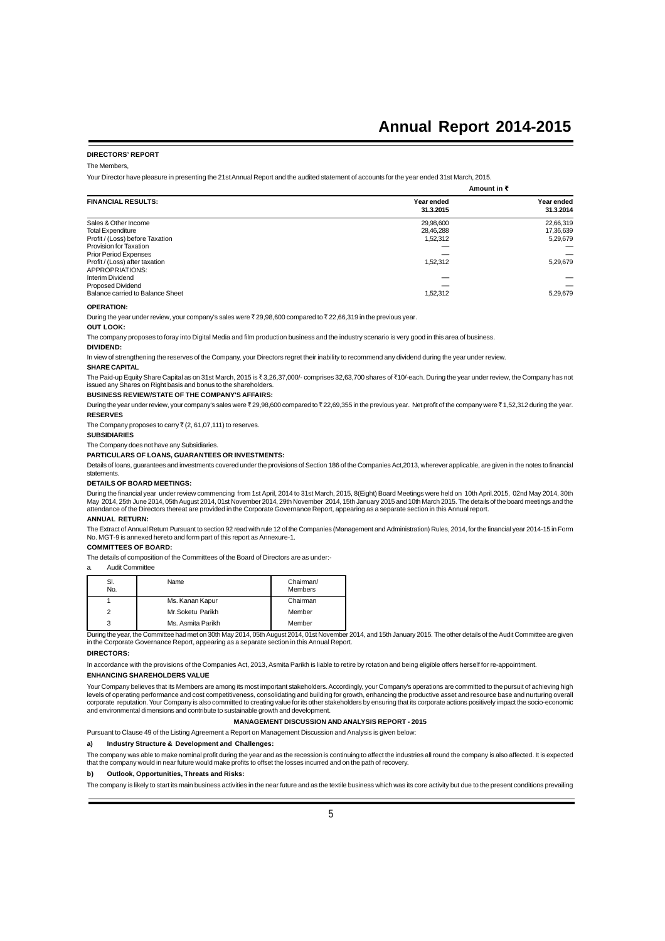### **DIRECTORS' REPORT**

#### The Members,

Your Director have pleasure in presenting the 21st Annual Report and the audited statement of accounts for the year ended 31st March, 2015.

|                                                   | Amount in ₹             |                         |
|---------------------------------------------------|-------------------------|-------------------------|
| <b>FINANCIAL RESULTS:</b>                         | Year ended<br>31.3.2015 | Year ended<br>31.3.2014 |
| Sales & Other Income                              | 29,98,600               | 22,66,319               |
| <b>Total Expenditure</b>                          | 28.46.288               | 17,36,639               |
| Profit / (Loss) before Taxation                   | 1.52.312                | 5.29.679                |
| Provision for Taxation                            |                         |                         |
| <b>Prior Period Expenses</b>                      |                         |                         |
| Profit / (Loss) after taxation<br>APPROPRIATIONS: | 1,52,312                | 5,29,679                |
| Interim Dividend                                  |                         |                         |
| Proposed Dividend                                 |                         |                         |
| Balance carried to Balance Sheet                  | 1,52,312                | 5,29,679                |

#### **OPERATION:**

During the year under review, your company's sales were ₹ 29,98,600 compared to ₹ 22,66,319 in the previous year.

### **OUT LOOK:**

The company proposes to foray into Digital Media and film production business and the industry scenario is very good in this area of business.

#### **DIVIDEND:**

In view of strengthening the reserves of the Company, your Directors regret their inability to recommend any dividend during the year under review.

#### **SHARE CAPITAL**

The Paid-up Equity Share Capital as on 31st March, 2015 is ₹3,26,37,000/- comprises 32,63,700 shares of ₹10/-each. During the year under review, the Company has not issued any Shares on Right basis and bonus to the shareholders.

### **BUSINESS REVIEW/STATE OF THE COMPANY'S AFFAIRS:**

During the year under review, your company's sales were ₹29,98,600 compared to ₹22,69,355 in the previous year. Net profit of the company were ₹1,52,312 during the year. **RESERVES**

The Company proposes to carry  $\bar{\tau}$  (2, 61,07,111) to reserves.

#### **SUBSIDIARIES**

The Company does not have any Subsidiaries.

### **PARTICULARS OF LOANS, GUARANTEES OR INVESTMENTS:**

Details of loans, guarantees and investments covered under the provisions of Section 186 of the Companies Act 2013, wherever applicable, are given in the notes to financial statements.

### **DETAILS OF BOARD MEETINGS:**

During the financial year under review commencing from 1st April, 2014 to 31st March, 2015, 8(Eight) Board Meetings were held on 10th April.2015, 02nd May 2014, 30th<br>May 2014, 25th June 2014, 05th August 2014, 01st Novem attendance of the Directors thereat are provided in the Corporate Governance Report, appearing as a separate section in this Annual report.

### **ANNUAL RETURN:**

The Extract of Annual Return Pursuant to section 92 read with rule 12 of the Companies (Management and Administration) Rules, 2014, for the financial year 2014-15 in Form<br>No. MGT-9 is annexed hereto and form part of this r

**COMMITTEES OF BOARD:**

#### The details of composition of the Committees of the Board of Directors are as under:-

a. Audit Committee

| SI.<br>No. | Name              | Chairman/<br><b>Members</b> |
|------------|-------------------|-----------------------------|
|            | Ms. Kanan Kapur   | Chairman                    |
| 2          | Mr.Soketu Parikh  | Member                      |
| 3          | Ms. Asmita Parikh | Member                      |

During the year, the Committee had met on 30th May 2014, 05th August 2014, 01st November 2014, and 15th January 2015. The other details of the Audit Committee are given in the Corporate Governance Report, appearing as a separate section in this Annual Report.

### **DIRECTORS:**

In accordance with the provisions of the Companies Act, 2013, Asmita Parikh is liable to retire by rotation and being eligible offers herself for re-appointment.

### **ENHANCING SHAREHOLDERS VALUE**

Your Company believes that its Members are among its most important stakeholders. Accordingly, your Company's operations are committed to the pursuit of achieving high<br>levels of operating performance and cost competitivene and environmental dimensions and contribute to sustainable growth and development.

### **MANAGEMENT DISCUSSION AND ANALYSIS REPORT - 2015**

Pursuant to Clause 49 of the Listing Agreement a Report on Management Discussion and Analysis is given below:

### **a) Industry Structure & Development and Challenges:**

The company was able to make nominal profit during the year and as the recession is continuing to affect the industries all round the company is also affected. It is expected<br>that the company would in near future would mak

#### **b) Outlook, Opportunities, Threats and Risks:**

The company is likely to start its main business activities in the near future and as the textile business which was its core activity but due to the present conditions prevailing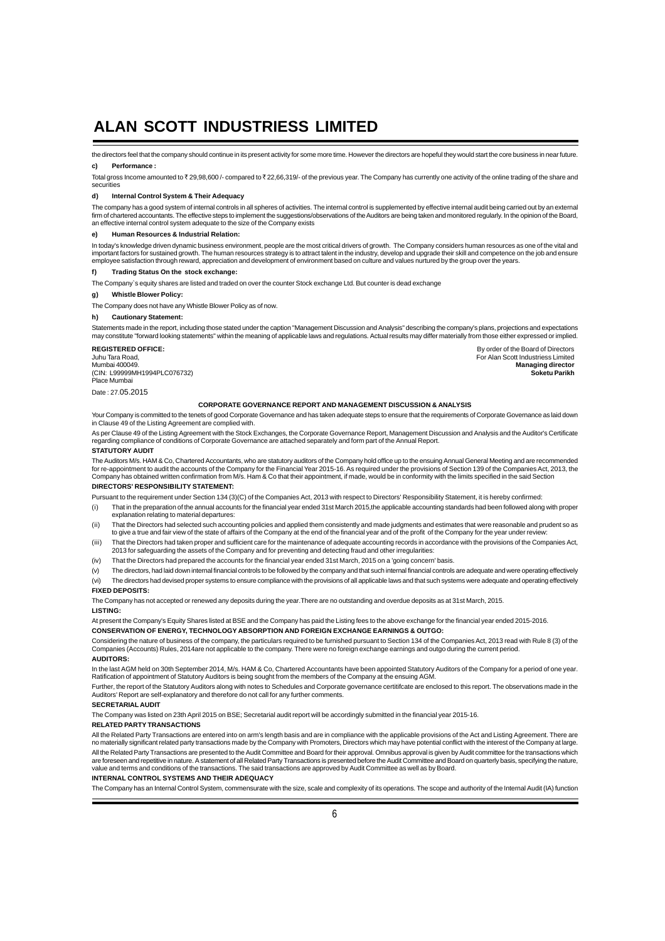the directors feel that the company should continue in its present activity for some more time. However the directors are hopeful they would start the core business in near future. **c) Performance :**

Total gross Income amounted to  $\bar{\tau}$  29,98,600 /- compared to  $\bar{\tau}$  22,66,319/- of the previous year. The Company has currently one activity of the online trading of the share and securities

#### **d) Internal Control System & Their Adequacy**

The company has a good system of internal controls in all spheres of activities. The internal control is supplemented by effective internal audit being carried out by an external firm of chartered accountants. The effective steps to implement the suggestions/observations of the Auditors are being taken and monitored regularly. In the opinion of the Board,<br>an effective internal control system adequa

### **e) Human Resources & Industrial Relation:**

In today's knowledge driven dynamic business environment, people are the most critical drivers of growth. The Company considers human resources as one of the vital and important factors for sustained growth. The human resources strategy is to attract talent in the industry, develop and upgrade their skill and competence on the job and ensure<br>employee satisfaction through reward, apprecia

#### **f) Trading Status On the stock exchange:**

The Company`s equity shares are listed and traded on over the counter Stock exchange Ltd. But counter is dead exchange

#### **g) Whistle Blower Policy:**

The Company does not have any Whistle Blower Policy as of now.

### **h) Cautionary Statement:**

Statements made in the report, including those stated under the caption "Management Discussion and Analysis" describing the company's plans, projections and expectations may constitute "forward looking statements" within the meaning of applicable laws and regulations. Actual results may differ materially from those either expressed or implied.

(CIN: L99999MH1994PLC076732) **Soketu Parikh** Place Mumbai

Date : 27.05.2015

#### **CORPORATE GOVERNANCE REPORT AND MANAGEMENT DISCUSSION & ANALYSIS**

Your Company is committed to the tenets of good Corporate Governance and has taken adequate steps to ensure that the requirements of Corporate Governance as laid down in Clause 49 of the Listing Agreement are complied with.

As per Clause 49 of the Listing Agreement with the Stock Exchanges, the Corporate Governance Report, Management Discussion and Analysis and the Auditor's Certificate regarding compliance of conditions of Corporate Governance are attached separately and form part of the Annual Report.

### **STATUTORY AUDIT**

The Auditors M/s. HAM & Co, Chartered Accountants, who are statutory auditors of the Company hold office up to the ensuing Annual General Meeting and are recommended<br>for re-appointment to audit the accounts of the Company Company has obtained written confirmation from M/s. Ham & Co that their appointment, if made, would be in conformity with the limits specified in the said Section **DIRECTORS' RESPONSIBILITY STATEMENT:**

Pursuant to the requirement under Section 134 (3)(C) of the Companies Act, 2013 with respect to Directors' Responsibility Statement, it is hereby confirmed:

- (i) That in the preparation of the annual accounts for the financial year ended 31st March 2015,the applicable accounting standards had been followed along with proper explanation relating to material departures:
- (ii) That the Directors had selected such accounting policies and applied them consistently and made judgments and estimates that were reasonable and prudent so as to give a true and fair view of the state of affairs of the Company at the end of the financial year and of the profit of the Company for the year under review
- (iii) That the Directors had taken proper and sufficient care for the maintenance of adequate accounting records in accordance with the provisions of the Companies Act, 2013 for safeguarding the assets of the Company and for preventing and detecting fraud and other irregularities:
- (iv) That the Directors had prepared the accounts for the financial year ended 31st March, 2015 on a 'going concern' basis.
- (v) The directors, had laid down internal financial controls to be followed by the company and that such internal financial controls are adequate and were operating effectively
- (vi) The directors had devised proper systems to ensure compliance with the provisions of all applicable laws and that such systems were adequate and operating effectively

#### **FIXED DEPOSITS:**

The Company has not accepted or renewed any deposits during the year.There are no outstanding and overdue deposits as at 31st March, 2015.

#### **LISTING:**

At present the Company's Equity Shares listed at BSE and the Company has paid the Listing fees to the above exchange for the financial year ended 2015-2016.

### **CONSERVATION OF ENERGY, TECHNOLOGY ABSORPTION AND FOREIGN EXCHANGE EARNINGS & OUTGO:**

Considering the nature of business of the company, the particulars required to be furnished pursuant to Section 134 of the Companies Act, 2013 read with Rule 8 (3) of the Companies (Accounts) Rules, 2014are not applicable to the company. There were no foreign exchange earnings and outgo during the current period. **AUDITORS:**

In the last AGM held on 30th September 2014, M/s. HAM & Co, Chartered Accountants have been appointed Statutory Auditors of the Company for a period of one year. Ratification of appointment of Statutory Auditors is being sought from the members of the Company at the ensuing AGM.

Further, the report of the Statutory Auditors along with notes to Schedules and Corporate governance certitifcate are enclosed to this report. The observations made in the Auditors' Report are self-explanatory and therefore do not call for any further comments.

### **SECRETARIAL AUDIT**

The Company was listed on 23th April 2015 on BSE; Secretarial audit report will be accordingly submitted in the financial year 2015-16.

### **RELATED PARTY TRANSACTIONS**

All the Related Party Transactions are entered into on arm's length basis and are in compliance with the applicable provisions of the Act and Listing Agreement. There are no materially significant related party transactions made by the Company with Promoters, Directors which may have potential conflict with the interest of the Company at large. All the Related Party Transactions are presented to the Audit Committee and Board for their approval. Omnibus approval is given by Audit committee for the transactions which are foreseen and repetitive in nature. A statement of all Related Party Transactions is presented before the Audit Committee and Board on quarterly basis, specifying the nature,<br>value and terms and conditions of the transa

### **INTERNAL CONTROL SYSTEMS AND THEIR ADEQUACY**

The Company has an Internal Control System, commensurate with the size, scale and complexity of its operations. The scope and authority of the Internal Audit (IA) function

**REGISTERED OFFICE:**<br>
Juhu Tara Road,<br>
Mumbai 400049. **By order of the Board of Directors**<br>
Managing director Juhu Tara Road, For Alan Scott Industriess Limited Mumbai 400049. **Managing director**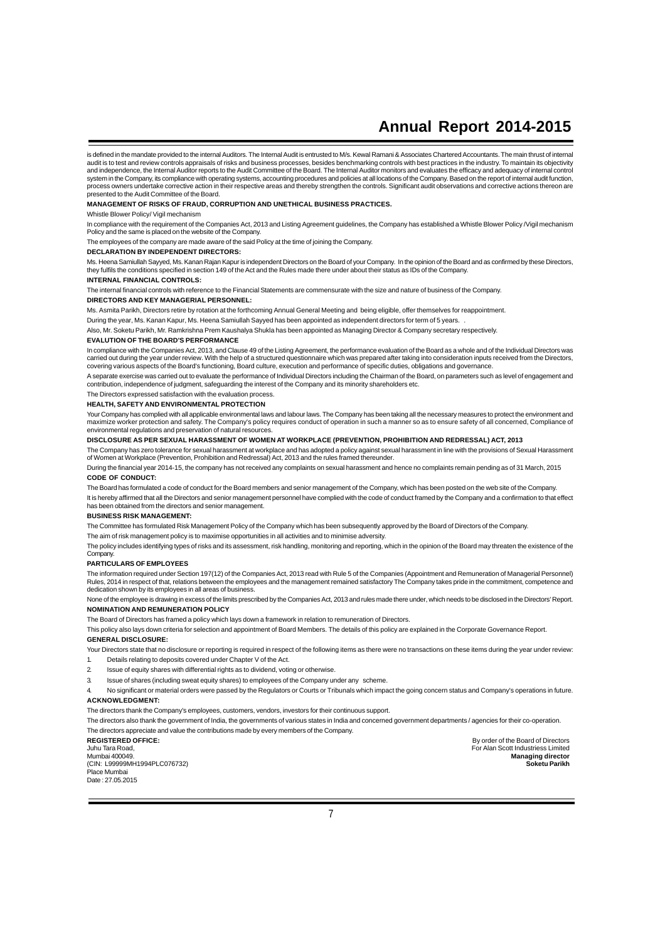is defined in the mandate provided to the internal Auditors. The Internal Audit is entrusted to M/s. Kewal Ramani & Associates Chartered Accountants. The main thrust of internal audit is to test and review controls appraisals of risks and business processes, besides benchmarking controls with best practices in the industry. To maintain its objectivity<br>and independence, the Internal Auditor reports system in the Company, its compliance with operating systems, accounting procedures and policies at all locations of the Company. Based on the report of internal audit function, process owners undertake corrective action in their respective areas and thereby strengthen the controls. Significant audit observations and corrective actions thereon are presented to the Audit Committee of the Board.

### **MANAGEMENT OF RISKS OF FRAUD, CORRUPTION AND UNETHICAL BUSINESS PRACTICES.**

Whistle Blower Policy/ Vigil mechanism

In compliance with the requirement of the Companies Act, 2013 and Listing Agreement guidelines, the Company has established a Whistle Blower Policy /Vigil mechanism Policy and the same is placed on the website of the Company.

The employees of the company are made aware of the said Policy at the time of joining the Company.

### **DECLARATION BY INDEPENDENT DIRECTORS:**

Ms. Heena Samiullah Sayyed, Ms. Kanan Rajan Kapur is independent Directors on the Board of your Company. In the opinion of the Board and as confirmed by these Directors,<br>they fulfils the conditions specified in section 149

### **INTERNAL FINANCIAL CONTROLS:**

The internal financial controls with reference to the Financial Statements are commensurate with the size and nature of business of the Company.

### **DIRECTORS AND KEY MANAGERIAL PERSONNEL:**

Ms. Asmita Parikh, Directors retire by rotation at the forthcoming Annual General Meeting and being eligible, offer themselves for reappointment.

During the year, Ms. Kanan Kapur, Ms. Heena Samiullah Sayyed has been appointed as independent directors for term of 5 years. .

Also, Mr. Soketu Parikh, Mr. Ramkrishna Prem Kaushalya Shukla has been appointed as Managing Director & Company secretary respectively.

#### **EVALUTION OF THE BOARD'S PERFORMANCE**

In compliance with the Companies Act, 2013, and Clause 49 of the Listing Agreement, the performance evaluation of the Board as a whole and of the Individual Directors was<br>carried out during the year under review. With the covering various aspects of the Board's functioning, Board culture, execution and performance of specific duties, obligations and governance.

A separate exercise was carried out to evaluate the performance of Individual Directors including the Chairman of the Board, on parameters such as level of engagement and contribution, independence of judgment, safeguarding the interest of the Company and its minority shareholders etc.

### The Directors expressed satisfaction with the evaluation process.

**HEALTH, SAFETY AND ENVIRONMENTAL PROTECTION**

Your Company has complied with all applicable environmental laws and labour laws. The Company has been taking all the necessary measures to protect the environment and maximize worker protection and safety. The Company's policy requires conduct of operation in such a manner so as to ensure safety of all concerned, Compliance of environmental regulations and preservation of natural resources.

### **DISCLOSURE AS PER SEXUAL HARASSMENT OF WOMEN AT WORKPLACE (PREVENTION, PROHIBITION AND REDRESSAL) ACT, 2013**

The Company has zero tolerance for sexual harassment at workplace and has adopted a policy against sexual harassment in line with the provisions of Sexual Harassment<br>of Women at Workplace (Prevention, Prohibition and Redre

During the financial year 2014-15, the company has not received any complaints on sexual harassment and hence no complaints remain pending as of 31 March, 2015 **CODE OF CONDUCT:**

The Board has formulated a code of conduct for the Board members and senior management of the Company, which has been posted on the web site of the Company. It is hereby affirmed that all the Directors and senior management personnel have complied with the code of conduct framed by the Company and a confirmation to that effect has been obtained from the directors and senior management.

#### **BUSINESS RISK MANAGEMENT:**

The Committee has formulated Risk Management Policy of the Company which has been subsequently approved by the Board of Directors of the Company.

The aim of risk management policy is to maximise opportunities in all activities and to minimise adversity.

The policy includes identifying types of risks and its assessment, risk handling, monitoring and reporting, which in the opinion of the Board may threaten the existence of the Company

### **PARTICULARS OF EMPLOYEES**

The information required under Section 197(12) of the Companies Act, 2013 read with Rule 5 of the Companies (Appointment and Remuneration of Managerial Personnel) Rules, 2014 in respect of that, relations between the employees and the management remained satisfactory The Company takes pride in the commitment, competence and dedication shown by its employees in all areas of business.

None of the employee is drawing in excess of the limits prescribed by the Companies Act, 2013 and rules made there under, which needs to be disclosed in the Directors' Report. **NOMINATION AND REMUNERATION POLICY**

The Board of Directors has framed a policy which lays down a framework in relation to remuneration of Directors.

This policy also lays down criteria for selection and appointment of Board Members. The details of this policy are explained in the Corporate Governance Report. **GENERAL DISCLOSURE:**

Your Directors state that no disclosure or reporting is required in respect of the following items as there were no transactions on these items during the year under review: 1. Details relating to deposits covered under Chapter V of the Act.

- 2. Issue of equity shares with differential rights as to dividend, voting or otherwise.
- 3. Issue of shares (including sweat equity shares) to employees of the Company under any scheme.

No significant or material orders were passed by the Regulators or Courts or Tribunals which impact the going concern status and Company's operations in future. **ACKNOWLEDGMENT:**

The directors thank the Company's employees, customers, vendors, investors for their continuous support.

The directors also thank the government of India, the governments of various states in India and concerned government departments / agencies for their co-operation. The directors appreciate and value the contributions made by every members of the Company.

(CIN: L99999MH1994PLC076732) **Soketu Parikh** Place Mumbai

Date : 27.05.2015

**REGISTERED OFFICE:**<br>
Lubu Tara Road<br>
Lubu Tara Road Juhu Tara Road, For Alan Scott Industriess Limited Managing director<br>Soketu Parikh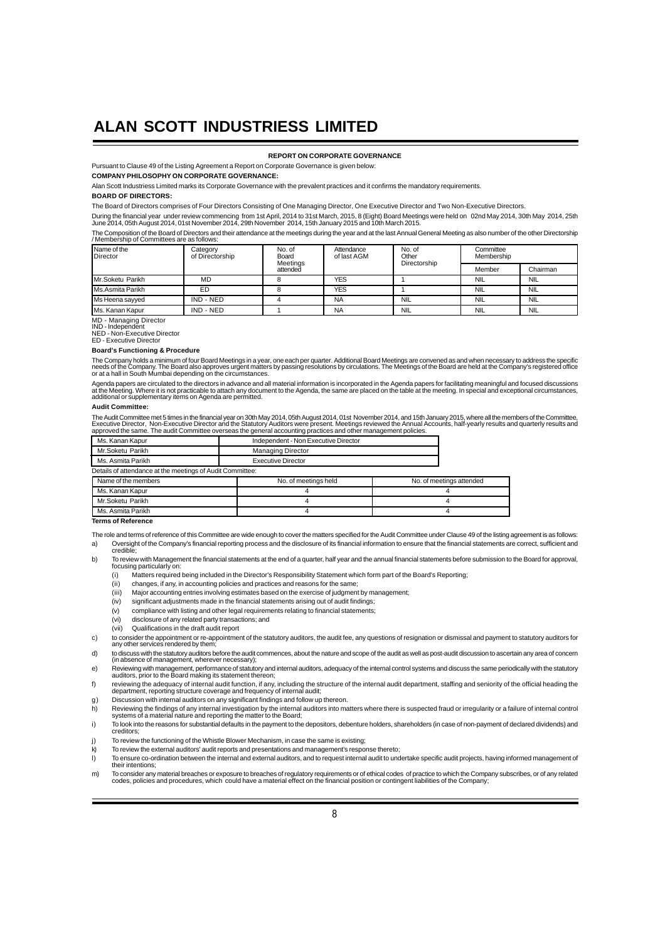**REPORT ON CORPORATE GOVERNANCE**

Pursuant to Clause 49 of the Listing Agreement a Report on Corporate Governance is given below:

**COMPANY PHILOSOPHY ON CORPORATE GOVERNANCE:**

Alan Scott Industriess Limited marks its Corporate Governance with the prevalent practices and it confirms the mandatory requirements.

### **BOARD OF DIRECTORS:**

The Board of Directors comprises of Four Directors Consisting of One Managing Director, One Executive Director and Two Non-Executive Directors.

During the financial year under review commencing from 1st April, 2014 to 31st March, 2015, 8 (Eight) Board Meetings were held on 02nd May 2014, 30th May 2014, 25th<br>June 2014, 05th August 2014, 01st November 2014, 29th

The Composition of the Board of Directors and their attendance at the meetings during the year and at the last Annual General Meeting as also number of the other Directorship / Membership of Committees are as follows:

| Name of the<br>Director  | Category<br>of Directorship | No. of<br>Board<br>Meetings | Attendance<br>of last AGM | No. of<br>Other<br>Directorship | Committee<br>Membership |            |
|--------------------------|-----------------------------|-----------------------------|---------------------------|---------------------------------|-------------------------|------------|
|                          |                             | attended                    |                           |                                 | Member                  | Chairman   |
| Mr.Soketu Parikh         | <b>MD</b>                   |                             | <b>YES</b>                |                                 | <b>NIL</b>              | <b>NIL</b> |
| <b>IMs.Asmita Parikh</b> | ED                          |                             | <b>YES</b>                |                                 | <b>NIL</b>              | <b>NIL</b> |
| Ms Heena sayyed          | IND - NED                   |                             | <b>NA</b>                 | <b>NIL</b>                      | <b>NIL</b>              | <b>NIL</b> |
| <b>IMs. Kanan Kapur</b>  | IND - NED                   |                             | <b>NA</b>                 | <b>NIL</b>                      | <b>NIL</b>              | <b>NIL</b> |

MD - Managing Director IND - Independent NED - Non-Executive Director

**ED - Executive Director** 

#### **Board's Functioning & Procedure**

The Company holds a minimum of four Board Meetings in a year, one each per quarter. Additional Board Meetings are convened as and when necessary to address the specific<br>needs of the Company. The Board also approves urgent

Agenda papers are circulated to the directors in advance and all material information is incorporated in the Agenda papers for facilitating meaningful and focused discussions<br>at the Meeting. Where it is not practicable to

### **Audit Committee:**

The Audit Committee met 5 times in the financial year on 30th May 2014, 05th August 2014, 01st November 2014, and 15th January 2015, where all the members of the Committee,<br>Executive Director, Non-Executive Director and th

|                                             | Ms. Kanan Kapur                                           | Independent - Non Executive Director |                          |  |
|---------------------------------------------|-----------------------------------------------------------|--------------------------------------|--------------------------|--|
|                                             | Mr.Soketu Parikh                                          | <b>Managing Director</b>             |                          |  |
|                                             | Ms. Asmita Parikh                                         | <b>Executive Director</b>            |                          |  |
|                                             | Details of attendance at the meetings of Audit Committee: |                                      |                          |  |
| Name of the members<br>No. of meetings held |                                                           |                                      | No. of meetings attended |  |
| Ms. Kanan Kapur                             |                                                           |                                      |                          |  |
| Mr.Soketu Parikh                            |                                                           |                                      |                          |  |
| Ms. Asmita Parikh                           |                                                           |                                      |                          |  |

### **Terms of Reference**

The role and terms of reference of this Committee are wide enough to cover the matters specified for the Audit Committee under Clause 49 of the listing agreement is as follows: a) Oversight of the Company's financial reporting process and the disclosure of its financial information to ensure that the financial statements are correct, sufficient and credible;

- b) To review with Management the financial statements at the end of a quarter, half year and the annual financial statements before submission to the Board for approval, focusing particularly on:
	- (i) Matters required being included in the Director's Responsibility Statement which form part of the Board's Reporting;
	-
	- $\begin{pmatrix} \n\text{ii} \\
	\text{iii} \\
	\text{iii} \\
	\text{10} \\
	\text{11} \\
	\text{12} \\
	\text{13} \\
	\text{14} \\
	\text{15} \\
	\text{16} \\
	\text{17} \\
	\text{18} \\
	\text{19} \\
	\text{10} \\
	\text{10} \\
	\text{11} \\
	\text{11} \\
	\text{12} \\
	\text{13} \\
	\text{14} \\
	\text{15} \\
	\text{16} \\
	\text{17} \\
	\text{18} \\
	\text{19} \\
	\text{10} \\
	\text{10} \\
	\text{11} \\
	\text{11} \\
	\text{12} \\
	\text{13$ Major accounting entries involving estimates based on the exercise of judgment by management;
	- (iv) significant adjustments made in the financial statements arising out of audit findings;
	- (v) compliance with listing and other legal requirements relating to financial statements;
	- (vi) disclosure of any related party transactions; and
	- (vii) Qualifications in the draft audit report
	-
- c) to consider the appointment or re-appointment of the statutory auditors, the audit fee, any questions of resignation or dismissal and payment to statutory auditors for any other services rendered by them;
- d) to discuss with the statutory auditors before the audit commences, about the nature and scope of the audit as well as post-audit discussion to ascertain any area of concern (in absence of management, wherever necessary);
- e) Reviewing with management, performance of statutory and internal auditors, adequacy of the internal control systems and discuss the same periodically with the statutory<br>auditors, prior to the Board making its statement
- f) reviewing the adequacy of internal audit function, if any, including the structure of the internal audit department, staffing and seniority of the official heading the<br>department, reporting structure coverage and freque g) Discussion with internal auditors on any significant findings and follow up thereon.
- 
- h) Reviewing the findings of any internal investigation by the internal auditors into matters where there is suspected fraud or irregularity or a failure of internal control<br>systems of a material nature and reporting the m i) To look into the reasons for substantial defaults in the payment to the depositors, debenture holders, shareholders (in case of non-payment of declared dividends) and
- creditors; i) To review the functioning of the Whistle Blower Mechanism, in case the same is existing:
- To review the external auditors' audit reports and presentations and management's response thereto;
- l) To ensure co-ordination between the internal and external auditors, and to request internal audit to undertake specific audit projects, having informed management of their intentions;
- m) To consider any material breaches or exposure to breaches of regulatory requirements or of ethical codes of practice to which the Company subscribes, or of any related<br>codes, policies and procedures, which could have a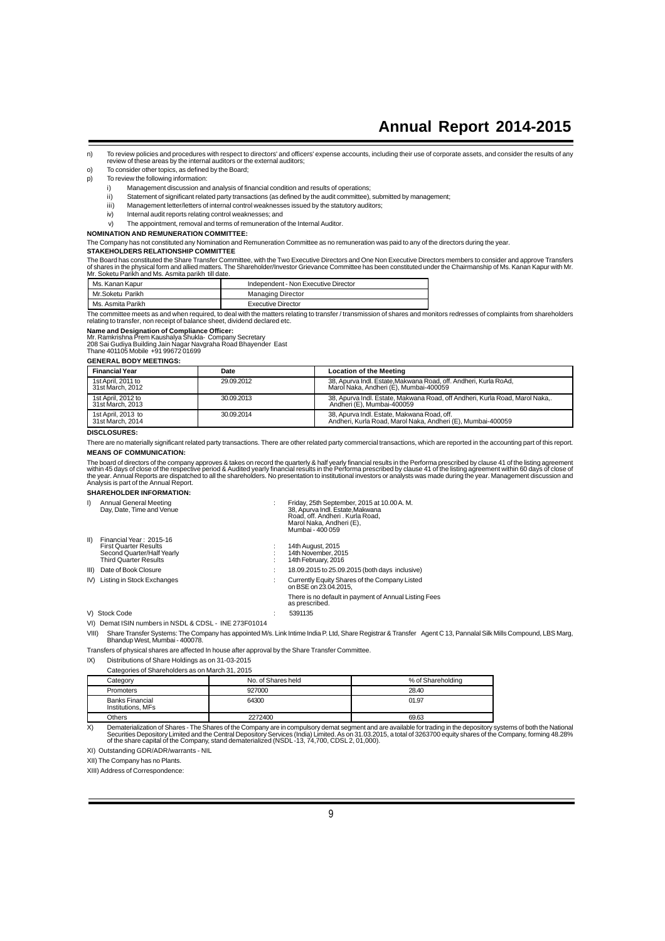- n) To review policies and procedures with respect to directors' and officers' expense accounts, including their use of corporate assets, and consider the results of any<br>review of these areas by the internal auditors or the
- o) To consider other topics, as defined by the Board;
- p) To review the following information:
	- i) Management discussion and analysis of financial condition and results of operations;
	- ii) Statement of significant related party transactions (as defined by the audit committee), submitted by management;
	- iii) Management letter/letters of internal control weaknesses issued by the statutory auditors;
	- iv) Internal audit reports relating control weaknesses; and
	- v) The appointment, removal and terms of remuneration of the Internal Auditor.
- **NOMINATION AND REMUNERATION COMMITTEE:**
- The Company has not constituted any Nomination and Remuneration Committee as no remuneration was paid to any of the directors during the year.

### **STAKEHOLDERS RELATIONSHIP COMMITTEE**

The Board has constituted the Share Transfer Committee, with the Two Executive Directors and One Non Executive Directors members to consider and approve Transfers<br>of shares in the physical form and allied matters. The Shar

| Ms. Kanan Kapur   | Independent - Non Executive Director |
|-------------------|--------------------------------------|
| Mr.Soketu Parikh  | <b>Managing Director</b>             |
| Ms. Asmita Parikh | Executive Director                   |

The committee meets as and when required, to deal with the matters relating to transfer / transmission of shares and monitors redresses of complaints from shareholders relating to transfer, non receipt of balance sheet, dividend declared etc.

**Name and Designation of Compliance Officer:**<br>Mr. Ramkrishna Prem Kaushalya Shukla- Company Secretary<br>208 Sai Gudiya Building Jain Nagar Navgraha Road Bhayender East<br>Thane 401105 Mobile +91 99672 01699

### **GENERAL BODY MEETINGS:**

| <b>Financial Year</b>                  | Date       | <b>Location of the Meeting</b>                                                                             |
|----------------------------------------|------------|------------------------------------------------------------------------------------------------------------|
| 1st April, 2011 to<br>31st March, 2012 | 29.09.2012 | 38. Apurva Indl. Estate.Makwana Road. off. Andheri. Kurla RoAd.<br>Marol Naka, Andheri (E), Mumbai-400059  |
| 1st April, 2012 to<br>31st March, 2013 | 30.09.2013 | 38. Apurva Indl. Estate. Makwana Road. off Andheri. Kurla Road. Marol Naka<br>Andheri (E), Mumbai-400059   |
| 1st April, 2013 to<br>31st March, 2014 | 30.09.2014 | 38. Apurva Indl. Estate. Makwana Road. off.<br>Andheri, Kurla Road, Marol Naka, Andheri (E), Mumbai-400059 |

### **DISCLOSURES:**

There are no materially significant related party transactions. There are other related party commercial transactions, which are reported in the accounting part of this report. **MEANS OF COMMUNICATION:**

The board of directors of the company approves & takes on record the quarterly & half yearly financial results in the Performa prescribed by clause 41 of the listing agreement<br>within 45 days of close of the respective peri

### **SHAREHOLDER INFORMATION:**

| $\mathsf{I}$ | Annual General Meeting<br>Day, Date, Time and Venue                                                                   | Friday, 25th September, 2015 at 10.00 A.M.<br>38, Apurva Indl. Estate, Makwana<br>Road, off, Andheri, Kurla Road,<br>Marol Naka, Andheri (E),<br>Mumbai - 400 059 |
|--------------|-----------------------------------------------------------------------------------------------------------------------|-------------------------------------------------------------------------------------------------------------------------------------------------------------------|
| $\parallel$  | Financial Year: 2015-16<br><b>First Quarter Results</b><br>Second Quarter/Half Yearly<br><b>Third Quarter Results</b> | 14th August, 2015<br>14th November, 2015<br>14th February, 2016                                                                                                   |
|              | III) Date of Book Closure                                                                                             | 18.09.2015 to 25.09.2015 (both days inclusive)                                                                                                                    |
|              | IV) Listing in Stock Exchanges                                                                                        | Currently Equity Shares of the Company Listed<br>on BSE on 23,04,2015.                                                                                            |
|              |                                                                                                                       | There is no default in payment of Annual Listing Fees<br>as prescribed.                                                                                           |
|              | V) Stock Code                                                                                                         | 5391135                                                                                                                                                           |
|              | VI) Demat ISIN numbers in NSDL & CDSL - INE 273F01014                                                                 |                                                                                                                                                                   |

VIII) Share Transfer Systems: The Company has appointed M/s. Link Intime India P. Ltd, Share Registrar & Transfer Agent C 13, Pannalal Silk Mills Compound, LBS Marg, Bhandup West, Mumbai - 400078.

Transfers of physical shares are affected In house after approval by the Share Transfer Committee.

IX) Distributions of Share Holdings as on 31-03-2015

Categories of Shareholders as on March 31, 2015

|  | Category                             | No. of Shares held | % of Shareholding |
|--|--------------------------------------|--------------------|-------------------|
|  | Promoters                            | 927000             | 28.40             |
|  | Banks Financial<br>Institutions, MFs | 64300              | 01.97             |
|  | Others                               | 2272400            | 69.63             |

X) Dematerialization of Shares - The Shares of the Company are in compulsory demat segment and are available for trading in the depository systems of both the National Securities Depository Systems of both the National Dep

XI) Outstanding GDR/ADR/warrants - NIL

XII) The Company has no Plants.

XIII) Address of Correspondence: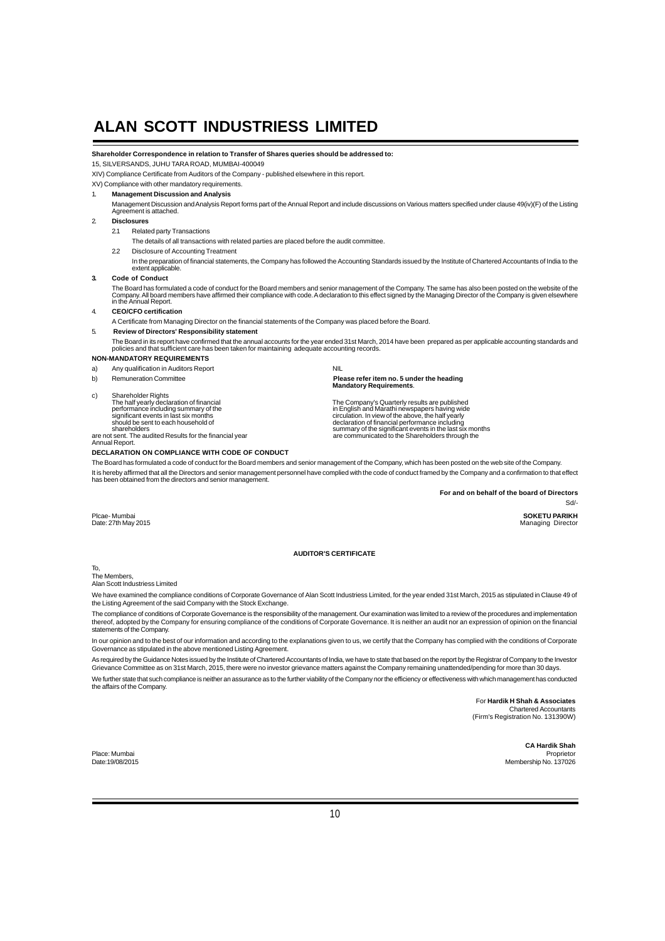## **Shareholder Correspondence in relation to Transfer of Shares queries should be addressed to:**

15, SILVERSANDS, JUHU TARA ROAD, MUMBAI-400049

XIV) Compliance Certificate from Auditors of the Company - published elsewhere in this report.

XV) Compliance with other mandatory requirements.

### 1. **Management Discussion and Analysis**

Management Discussion and Analysis Report forms part of the Annual Report and include discussions on Various matters specified under clause 49(iv)(F) of the Listing Agreement is attached.

### 2. **Disclosures**

2.1 Related party Transactions

The details of all transactions with related parties are placed before the audit committee.

- 2.2 Disclosure of Accounting Treatment
	- In the preparation of financial statements, the Company has followed the Accounting Standards issued by the Institute of Chartered Accountants of India to the extent applicable.

### **3. Code of Conduct**

The Board has formulated a code of conduct for the Board members and senior management of the Company. The same has also been posted on the website of the<br>Company. All board members have affirmed their compliance with code

- 4. **CEO/CFO certification**
- A Certificate from Managing Director on the financial statements of the Company was placed before the Board.

### 5. **Review of Directors' Responsibility statement**

The Board in its report have confirmed that the annual accounts for the year ended 31st March, 2014 have been prepared as per applicable accounting standards and<br>policies and that sufficient care has been taken for mainta

## **NON-MANDATORY REQUIREMENTS**

- a) Any qualification in Auditors Report NIL
- b) Remuneration Committee **Please refer item no. 5 under the heading Mandatory Requirements**.

c) Shareholder Rights<br>The half yearly declaration of financial<br>performance including summary of the<br>significant events in last six months<br>should be sent to each household of The half yearly declaration of financial<br>
performance including summary of the<br>
significant events in last six months<br>
significant events in last six months<br>
significant events in last six months<br>
should be sent to each ho

shareholders<br>are not sent. The audited Results for the financial year<br>Annual Report.

**DECLARATION ON COMPLIANCE WITH CODE OF CONDUCT**

The Board has formulated a code of conduct for the Board members and senior management of the Company, which has been posted on the web site of the Company.

It is hereby affirmed that all the Directors and senior management personnel have complied with the code of conduct framed by the Company and a confirmation to that effect<br>has been obtained from the directors and senior ma

**For and on behalf of the board of Directors**

Sd/- in the state of the state of the state of the state of the state of the state of the state of the state o

Plcae- Mumbai **SOKETU PARIKH**<br>Date: 27th May 2015 Managing Director

#### **AUDITOR'S CERTIFICATE**

To,

The Members, Alan Scott Industriess Limited

We have examined the compliance conditions of Corporate Governance of Alan Scott Industriess Limited, for the year ended 31st March, 2015 as stipulated in Clause 49 of the Listing Agreement of the said Company with the Stock Exchange.

The compliance of conditions of Corporate Governance is the responsibility of the management. Our examination was limited to a review of the procedures and implementation<br>thereof, adopted by the Company for ensuring compli statements of the Company.

In our opinion and to the best of our information and according to the explanations given to us, we certify that the Company has complied with the conditions of Corporate Governance as stipulated in the above mentioned Listing Agreement.

As required by the Guidance Notes issued by the Institute of Chartered Accountants of India, we have to state that based on the report by the Registrar of Company to the Investor<br>Grievance Committee as on 31st March, 2015, We further state that such compliance is neither an assurance as to the further viability of the Company nor the efficiency or effectiveness with which management has conducted the affairs of the Company.

> For **Hardik H Shah & Associates** Chartered Accountants (Firm's Registration No. 131390W)

**CA Hardik Shah** Place: Mumbai Proprietor Date:19/08/2015 Membership No. 137026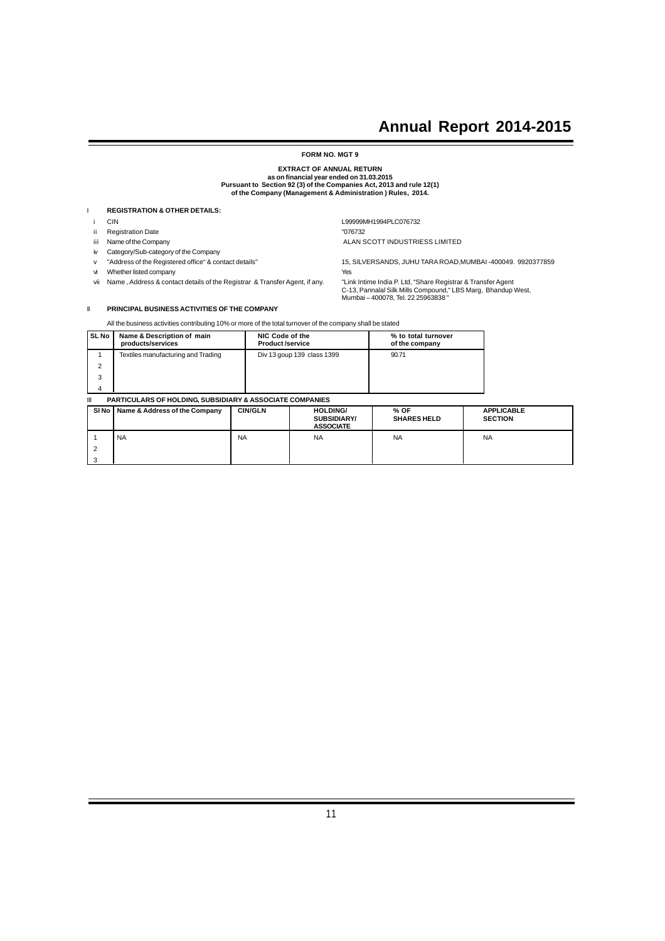### **FORM NO. MGT 9**

# **EXTRACT OF ANNUAL RETURN as on financial year ended on 31.03.2015 Pursuant to Section 92 (3) of the Companies Act, 2013 and rule 12(1) of the Company (Management & Administration ) Rules, 2014.**

### I **REGISTRATION & OTHER DETAILS:**

- i CIN L99999MH1994PLC076732
- 
- ii Registration Date "076732" example a material control of the Company<br>iii Name of the Company
- iv Category/Sub-category of the Company
- 
- vi Whether listed company **Yes**
- vii Name, Address & contact details of the Registrar & Transfer Agent, if any.

v "Address of the Registered office" & contact details" 15, SILVERSANDS, JUHU TARA ROAD,MUMBAI -400049. 9920377859

ALAN SCOTT INDUSTRIESS LIMITED

C-13, Pannalal Silk Mills Compound," LBS Marg, Bhandup West, Mumbai – 400078, Tel. 22 25963838 "

### II **PRINCIPAL BUSINESS ACTIVITIES OF THE COMPANY**

All the business activities contributing 10% or more of the total turnover of the company shall be stated

| <b>SL No</b> | Name & Description of main<br>products/services | NIC Code of the<br><b>Product/service</b> | % to total turnover<br>of the company |
|--------------|-------------------------------------------------|-------------------------------------------|---------------------------------------|
|              | Textiles manufacturing and Trading              | Div 13 goup 139 class 1399                | 90.71                                 |
| ◠            |                                                 |                                           |                                       |
| 3            |                                                 |                                           |                                       |
|              |                                                 |                                           |                                       |

### **III PARTICULARS OF HOLDING, SUBSIDIARY & ASSOCIATE COMPANIES**

| SI <sub>No</sub> | Name & Address of the Company | <b>CIN/GLN</b> | <b>HOLDING/</b><br><b>SUBSIDIARY/</b><br><b>ASSOCIATE</b> | % OF<br><b>SHARES HELD</b> | <b>APPLICABLE</b><br><b>SECTION</b> |
|------------------|-------------------------------|----------------|-----------------------------------------------------------|----------------------------|-------------------------------------|
|                  | <b>NA</b>                     | <b>NA</b>      | <b>NA</b>                                                 | <b>NA</b>                  | <b>NA</b>                           |
|                  |                               |                |                                                           |                            |                                     |
| 3                |                               |                |                                                           |                            |                                     |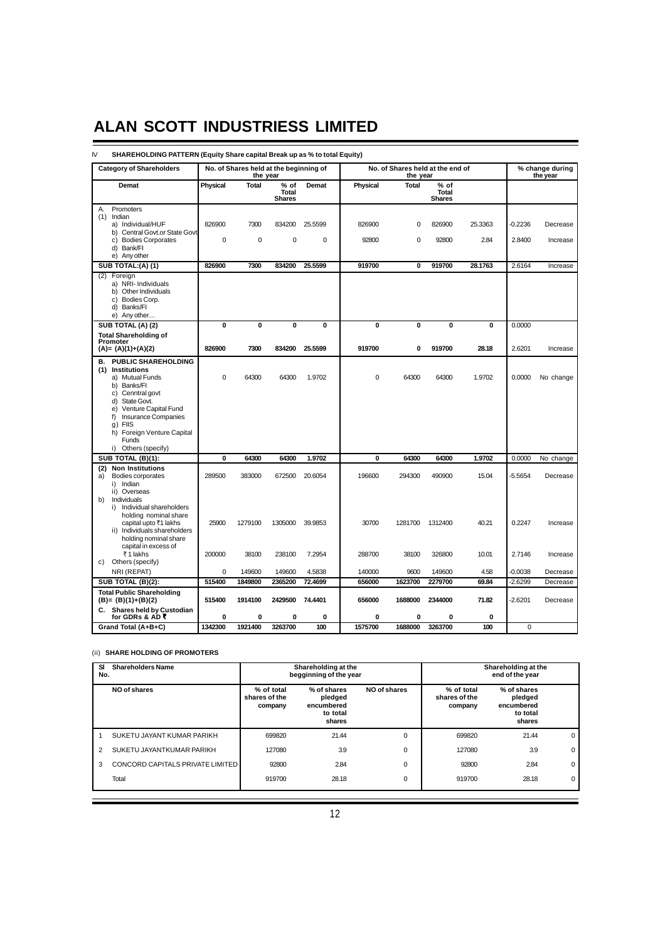### IV **SHAREHOLDING PATTERN (Equity Share capital Break up as % to total Equity) Category of Shareholders No. of Shares held at the beginning of** No. of Shares held at the end of % change during<br>the year the end of the pear the end of the year **the year**<br>**the year**<br>**the year**<br>**fixal**<br>**the year**<br>**fixal**<br>**fixal Demat Physical Total % of Demat Physical Total % of Total Total Shares** Shares Shares Shares Shares Shares Shares Shares Shares Shares Shares Shares Shares Shares Shares Shares Shares Shares Shares Shares Shares Shares Shares Shares Shares Shares Shares Shares Shares Shares Shares Sha A. Promoters  $(1)$  Indian a) Individual/HUF 826900 7300 834200 25.5599 826900 0 826900 25.3363 -0.2236 Decrease b) Central Govt.or State Govt c) Bodies Corporates 0 0 0 0 92800 0 92800 2.84 2.8400 Increase d) Bank/FI e) Any other **SUB TOTAL:(A) (1) <b>826900 7300 834200 25.5599 919700 0 919700 28.1763** 2.6164 Increase (2) Foreign a) NRI- Individuals b) Other Individuals c) Bodies Corp. d) Banks/FI e) Any other **SUB TOTAL (A) (2) 0 0 0 0 0 0 0 0** 0.0000 **Total Shareholding of Promoter (A)= (A)(1)+(A)(2) 826900 7300 834200 25.5599 919700 0 919700 28.18** 2.6201 Increase **B. PUBLIC SHAREHOLDING (1) Institutions** a) Mutual Funds 0 64300 64300 1.9702 0 64300 64300 1.9702 0.0000 No change b) Banks/FI c) Cenntral govt d) State Govt. e) Venture Capital Fund f) Insurance Companies g) FIIS h) Foreign Venture Capital Funds i) Others (specify) **SUB TOTAL (B)(1): 0 64300 64300 1.9702 0 64300 64300 1.9702** 0.0000 No change **(2) Non Institutions** a) Bodies corporates 289500 383000 672500 20.6054 196600 294300 490900 15.04 -5.5654 Decrease i) Indian ii) Overseas b) Individuals i) Individual shareholders holding nominal share capital upto `1 lakhs 25900 1279100 1305000 39.9853 30700 1281700 1312400 40.21 0.2247 Increase ii) Individuals shareholders

(ii) **SHARE HOLDING OF PROMOTERS**

holding nominal share capital in excess of

c) Others (specify)

**Total Public Shareholding**

| <b>Shareholders Name</b><br>SI<br>No. |                                         | Shareholding at the<br>begginning of the year |                                                            |              | Shareholding at the<br>end of the year |                                                            |             |
|---------------------------------------|-----------------------------------------|-----------------------------------------------|------------------------------------------------------------|--------------|----------------------------------------|------------------------------------------------------------|-------------|
|                                       | NO of shares                            | % of total<br>shares of the<br>company        | % of shares<br>pledged<br>encumbered<br>to total<br>shares | NO of shares | % of total<br>shares of the<br>company | % of shares<br>pledged<br>encumbered<br>to total<br>shares |             |
|                                       | SUKETU JAYANT KUMAR PARIKH              | 699820                                        | 21.44                                                      | 0            | 699820                                 | 21.44                                                      | 0           |
| 2                                     | SUKETU JAYANTKUMAR PARIKH               | 127080                                        | 3.9                                                        | 0            | 127080                                 | 3.9                                                        | $\mathbf 0$ |
| 3                                     | <b>CONCORD CAPITALS PRIVATE LIMITED</b> | 92800                                         | 2.84                                                       | 0            | 92800                                  | 2.84                                                       | $\mathbf 0$ |
|                                       | Total                                   | 919700                                        | 28.18                                                      | 0            | 919700                                 | 28.18                                                      | 0           |

` 1 lakhs 200000 38100 238100 7.2954 288700 38100 326800 10.01 2.7146 Increase

NRI (REPAT) 0 149600 149600 4.5838 140000 9600 149600 4.58 -0.0038 Decrease **SUB TOTAL (B)(2): 515400 1849800 2365200 72.4699 656000 1623700 2279700 69.84** -2.6299 Decrease

**(B)= (B)(1)+(B)(2) 515400 1914100 2429500 74.4401 656000 1688000 2344000 71.82** -2.6201 Decrease

**C. Shares held by Custodian for GDRs & AD** ` **0 0 00 0 0 0 0**

**Grand Total (A+B+C) 1342300 1921400 3263700 100 1575700 1688000 3263700 100** 0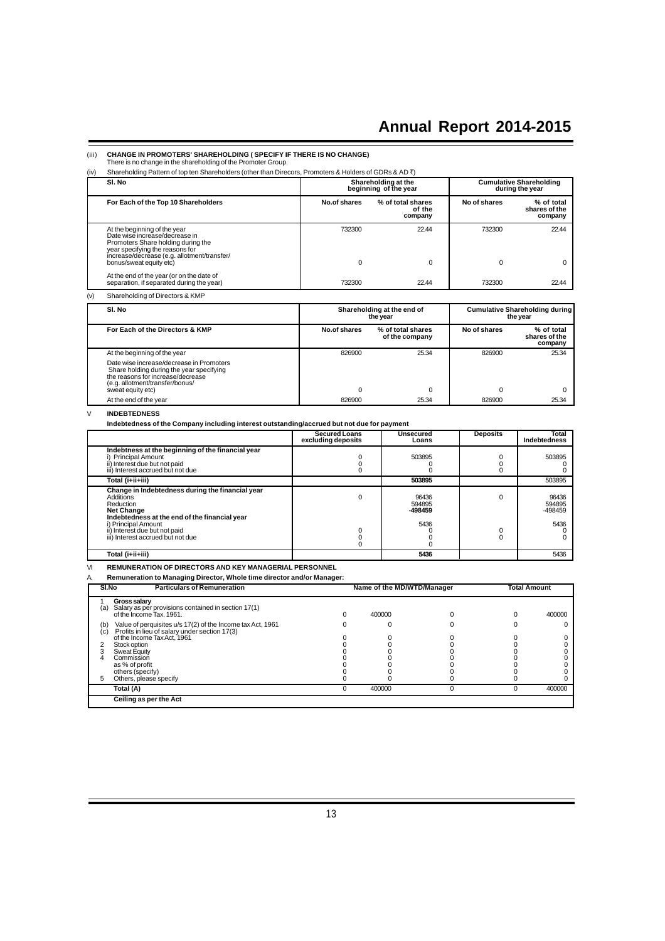## (iii) **CHANGE IN PROMOTERS' SHAREHOLDING ( SPECIFY IF THERE IS NO CHANGE)** There is no change in the shareholding of the Promoter Group.

| SI. No<br><b>Cumulative Shareholding</b><br>Shareholding at the<br>beginning of the year<br>during the year<br>For Each of the Top 10 Shareholders<br>No.of shares<br>No of shares<br>% of total shares<br>of the<br>company<br>22.44<br>732300<br>At the beginning of the year<br>732300<br>Date wise increase/decrease in<br>Promoters Share holding during the<br>year specifying the reasons for<br>increase/decrease (e.g. allotment/transfer/<br>bonus/sweat equity etc)<br>0<br>0<br>$\Omega$<br>At the end of the year (or on the date of<br>separation, if separated during the year)<br>22.44<br>732300<br>732300<br>(v)<br>Shareholding of Directors & KMP | (iv) | Shareholding Pattern of top ten Shareholders (other than Direcors, Promoters & Holders of GDRs & AD ₹) |  |  |                                        |
|-----------------------------------------------------------------------------------------------------------------------------------------------------------------------------------------------------------------------------------------------------------------------------------------------------------------------------------------------------------------------------------------------------------------------------------------------------------------------------------------------------------------------------------------------------------------------------------------------------------------------------------------------------------------------|------|--------------------------------------------------------------------------------------------------------|--|--|----------------------------------------|
|                                                                                                                                                                                                                                                                                                                                                                                                                                                                                                                                                                                                                                                                       |      |                                                                                                        |  |  |                                        |
|                                                                                                                                                                                                                                                                                                                                                                                                                                                                                                                                                                                                                                                                       |      |                                                                                                        |  |  | % of total<br>shares of the<br>company |
|                                                                                                                                                                                                                                                                                                                                                                                                                                                                                                                                                                                                                                                                       |      |                                                                                                        |  |  | 22.44                                  |
|                                                                                                                                                                                                                                                                                                                                                                                                                                                                                                                                                                                                                                                                       |      |                                                                                                        |  |  | 0<br>22.44                             |
|                                                                                                                                                                                                                                                                                                                                                                                                                                                                                                                                                                                                                                                                       |      |                                                                                                        |  |  |                                        |

| SI. No                                                                                                                                                                            |              | Shareholding at the end of<br>the vear | <b>Cumulative Shareholding during</b><br>the vear |                                        |  |
|-----------------------------------------------------------------------------------------------------------------------------------------------------------------------------------|--------------|----------------------------------------|---------------------------------------------------|----------------------------------------|--|
| For Each of the Directors & KMP                                                                                                                                                   | No.of shares | % of total shares<br>of the company    | No of shares                                      | % of total<br>shares of the<br>company |  |
| At the beginning of the year                                                                                                                                                      | 826900       | 25.34                                  | 826900                                            | 25.34                                  |  |
| Date wise increase/decrease in Promoters<br>Share holding during the year specifying<br>the reasons for increase/decrease<br>(e.g. allotment/transfer/bonus/<br>sweat equity etc) |              |                                        |                                                   |                                        |  |
| At the end of the year                                                                                                                                                            | 826900       | 25.34                                  | 826900                                            | 25.34                                  |  |

### V **INDEBTEDNESS**

**Indebtedness of the Company including interest outstanding/accrued but not due for payment**

|                                                                                                                                                                                                                                               | <b>Secured Loans</b><br>excluding deposits | Unsecured<br>Loans                 | <b>Deposits</b> | Total<br>Indebtedness              |
|-----------------------------------------------------------------------------------------------------------------------------------------------------------------------------------------------------------------------------------------------|--------------------------------------------|------------------------------------|-----------------|------------------------------------|
| Indebtness at the beginning of the financial year<br><b>Principal Amount</b><br>ii) Interest due but not paid<br>iii) Interest accrued but not due                                                                                            |                                            | 503895                             |                 | 503895                             |
| Total (i+ii+iii)                                                                                                                                                                                                                              |                                            | 503895                             |                 | 503895                             |
| Change in Indebtedness during the financial year<br>Additions<br>Reduction<br><b>Net Change</b><br>Indebtedness at the end of the financial year<br>i) Principal Amount<br>ii) Interest due but not paid<br>iii) Interest accrued but not due |                                            | 96436<br>594895<br>-498459<br>5436 |                 | 96436<br>594895<br>-498459<br>5436 |
| Total (i+ii+iii)                                                                                                                                                                                                                              |                                            | 5436                               |                 | 5436                               |

I

VI **REMUNERATION OF DIRECTORS AND KEY MANAGERIAL PERSONNEL**

A. **Remuneration to Managing Director, Whole time director and/or Manager:**

| SI.No      | <b>Particulars of Remuneration</b>                                                                          |  | Name of the MD/WTD/Manager |   | <b>Total Amount</b> |        |
|------------|-------------------------------------------------------------------------------------------------------------|--|----------------------------|---|---------------------|--------|
| (a)        | <b>Gross salary</b><br>Salary as per provisions contained in section 17(1)<br>of the Income Tax, 1961.      |  | 400000                     |   | ი                   | 400000 |
| (b)<br>(c) | Value of perquisites u/s 17(2) of the Income tax Act, 1961<br>Profits in lieu of salary under section 17(3) |  |                            |   |                     |        |
|            | of the Income Tax Act, 1961                                                                                 |  |                            |   |                     |        |
|            | Stock option                                                                                                |  |                            |   |                     |        |
|            | Sweat Equity                                                                                                |  |                            |   |                     |        |
|            | Commission                                                                                                  |  |                            |   |                     |        |
|            | as % of profit                                                                                              |  |                            |   |                     |        |
|            | others (specify)                                                                                            |  |                            |   |                     |        |
| 5          | Others, please specify                                                                                      |  |                            |   |                     |        |
|            | Total (A)                                                                                                   |  | 400000                     | 0 | 0                   | 400000 |
|            | Ceiling as per the Act                                                                                      |  |                            |   |                     |        |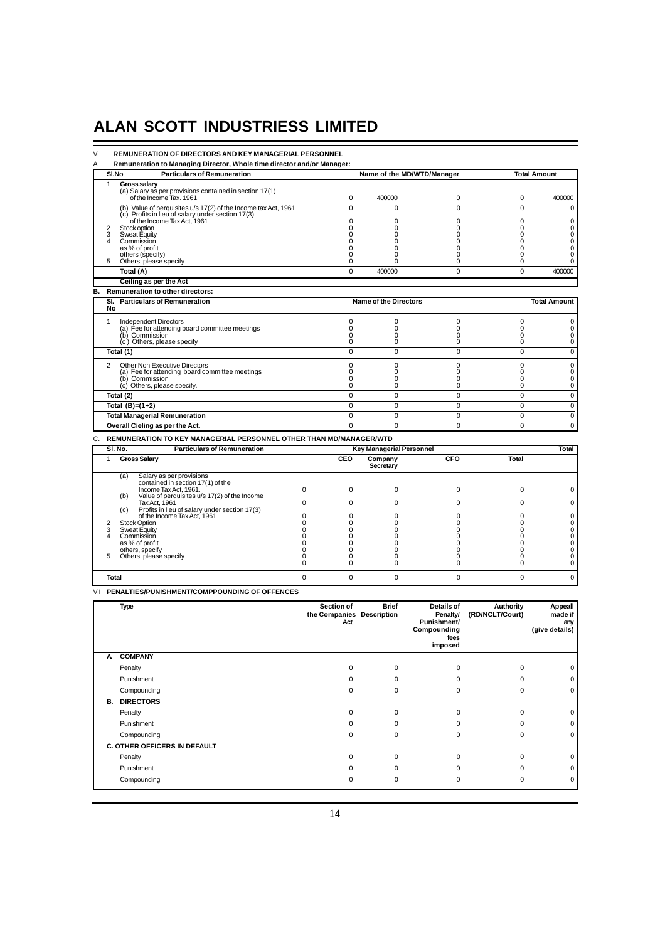**VI REMUNERATION OF DIRECTORS AND KEY MANAGERIAL PERSONNEL**<br>A. Remuneration to Managing Director, Whole time director and/or Manage

A. **Remuneration to Managing Director, Whole time director and/or Manager:**

|    |              | SI.No<br><b>Particulars of Remuneration</b><br>Name of the MD/WTD/Manager                                           |                          |                      | <b>Total Amount</b>             |                |                |                     |
|----|--------------|---------------------------------------------------------------------------------------------------------------------|--------------------------|----------------------|---------------------------------|----------------|----------------|---------------------|
|    | $\mathbf{1}$ | Gross salary                                                                                                        |                          |                      |                                 |                |                |                     |
|    |              | (a) Salary as per provisions contained in section 17(1)                                                             |                          |                      |                                 |                | 0              |                     |
|    |              | of the Income Tax. 1961.                                                                                            |                          | 0                    | 400000                          | 0              |                | 400000              |
|    |              | (b) Value of perquisites u/s 17(2) of the Income tax Act, 1961<br>(c) Profits in lieu of salary under section 17(3) |                          | $\Omega$             | $\Omega$                        | $\Omega$       | 0              | $\mathbf 0$         |
|    |              | of the Income Tax Act, 1961                                                                                         |                          | $\Omega$             | 0                               | $\Omega$       | $\Omega$       | $\Omega$            |
|    | 2            | Stock option                                                                                                        |                          | $\Omega$             | $\Omega$                        | $\Omega$       | $\Omega$       | 0                   |
|    | 3<br>4       | Sweat Equity<br>Commission                                                                                          |                          | $\Omega$<br>$\Omega$ | $\Omega$<br>$\Omega$            | O<br>n         | 0<br>0         | 0<br>0              |
|    |              | as % of profit                                                                                                      |                          | <sup>0</sup>         | <sup>0</sup>                    | O              | 0              | $\Omega$            |
|    |              | others (specify)                                                                                                    |                          | 0                    | $\Omega$                        | 0              | 0              | 0                   |
|    | 5            | Others, please specify                                                                                              |                          | $\Omega$             | 0                               | 0              | 0              | 0                   |
|    |              | Total (A)                                                                                                           |                          | $\Omega$             | 400000                          | $\Omega$       | $\Omega$       | 400000              |
|    |              | Ceiling as per the Act                                                                                              |                          |                      |                                 |                |                |                     |
| в. |              | <b>Remuneration to other directors:</b>                                                                             |                          |                      |                                 |                |                |                     |
|    | No           | SI. Particulars of Remuneration                                                                                     |                          |                      | <b>Name of the Directors</b>    |                |                | <b>Total Amount</b> |
|    | $\mathbf{1}$ | <b>Independent Directors</b>                                                                                        |                          | 0                    | 0                               | $\mathbf 0$    | 0              | 0                   |
|    |              | (a) Fee for attending board committee meetings                                                                      |                          | $\Omega$             | $\Omega$                        | $\Omega$       | 0              | 0                   |
|    |              | (b) Commission                                                                                                      |                          | $\Omega$             | $\Omega$                        | $\Omega$       | 0              | 0                   |
|    |              | (c) Others, please specify                                                                                          |                          | 0                    | $\Omega$                        | 0              | 0              | 0                   |
|    |              | Total (1)                                                                                                           |                          | $\Omega$             | $\Omega$                        | $\Omega$       | $\Omega$       | $\mathbf 0$         |
|    | 2            | Other Non Executive Directors                                                                                       |                          | 0                    | 0                               | 0              | 0              | $\mathbf 0$         |
|    |              | (a) Fee for attending board committee meetings<br>(b) Commission                                                    |                          | $\Omega$<br>$\Omega$ | $\Omega$<br>$\Omega$            | 0<br>$\Omega$  | 0<br>$\Omega$  | 0<br>$\Omega$       |
|    |              | (c) Others, please specify.                                                                                         |                          | $\Omega$             | $\Omega$                        | 0              | 0              | $\mathbf 0$         |
|    |              | Total (2)                                                                                                           |                          | $\Omega$             | $\Omega$                        | $\Omega$       | $\Omega$       | $\Omega$            |
|    |              | Total $(B)=(1+2)$                                                                                                   |                          | $\overline{0}$       | $\overline{0}$                  | $\overline{0}$ | $\overline{0}$ | $\overline{0}$      |
|    |              | <b>Total Managerial Remuneration</b>                                                                                |                          | $\overline{0}$       | $\Omega$                        | $\Omega$       | $\overline{0}$ | $\mathbf 0$         |
|    |              | Overall Cieling as per the Act.                                                                                     |                          | $\Omega$             | $\Omega$                        | $\Omega$       | 0              | 0                   |
|    |              | C. REMUNERATION TO KEY MANAGERIAL PERSONNEL OTHER THAN MD/MANAGER/WTD                                               |                          |                      |                                 |                |                |                     |
|    |              | <b>Particulars of Remuneration</b><br>SI. No.                                                                       |                          |                      | <b>Key Managerial Personnel</b> |                |                | Total               |
|    | $\mathbf{1}$ | <b>Gross Salary</b>                                                                                                 |                          | <b>CEO</b>           | Company<br>Secretary            | CFO            | <b>Total</b>   |                     |
|    |              | Salary as per provisions<br>(a)                                                                                     |                          |                      |                                 |                |                |                     |
|    |              | contained in section 17(1) of the<br>Income Tax Act. 1961.                                                          | $\Omega$                 | $\Omega$             | $\Omega$                        | $\Omega$       | 0              | $\Omega$            |
|    |              | Value of perquisites u/s 17(2) of the Income<br>(b)                                                                 |                          |                      |                                 |                |                |                     |
|    |              | Tax Act. 1961                                                                                                       | $\Omega$                 | $\Omega$             | $\Omega$                        | $\Omega$       | 0              | 0                   |
|    |              | Profits in lieu of salary under section 17(3)<br>(c)<br>of the Income Tax Act, 1961                                 | $\Omega$                 | $\Omega$             | $\Omega$                        | $\Omega$       | $\Omega$       | 0                   |
|    | 2            | <b>Stock Option</b>                                                                                                 | $\Omega$                 | $\Omega$             | $\Omega$                        | 0              | $\Omega$       | 0                   |
|    | 3            | Sweat Equity                                                                                                        | $\Omega$                 | $\Omega$             | 0                               | n              | 0              | 0                   |
|    | 4            | Commission<br>as % of profit                                                                                        | <sup>0</sup><br>$\Omega$ | $\Omega$<br>$\Omega$ | 0<br>$\Omega$                   | 0              | 0<br>0         | 0<br>0              |
|    |              | others, specify                                                                                                     | 0                        | 0                    | 0                               | 0              | 0              | 0                   |
|    | 5            | Others, please specify                                                                                              | 0                        | 0                    | 0                               | 0              | 0              | $\mathbf 0$         |
|    |              |                                                                                                                     | $\Omega$                 | $\Omega$             | $\Omega$                        | 0              | 0              | 0                   |
|    | Total        |                                                                                                                     | $\Omega$                 | $\Omega$             | $\Omega$                        | 0              | 0              | $\mathbf 0$         |
|    |              |                                                                                                                     |                          |                      |                                 |                |                |                     |

VII **PENALTIES/PUNISHMENT/COMPPOUNDING OF OFFENCES**

|    | Type                                | Section of<br>the Companies Description<br>Act | <b>Brief</b> | Details of<br>Penalty/<br>Punishment/<br>Compounding<br>fees<br>imposed | Authority<br>(RD/NCLT/Court) | <b>Appeall</b><br>made if<br>any<br>(give details) |
|----|-------------------------------------|------------------------------------------------|--------------|-------------------------------------------------------------------------|------------------------------|----------------------------------------------------|
| A. | <b>COMPANY</b>                      |                                                |              |                                                                         |                              |                                                    |
|    | Penalty                             | $\Omega$                                       | $\mathbf 0$  | 0                                                                       | 0                            | 0                                                  |
|    | Punishment                          | $\Omega$                                       | $\Omega$     | $\Omega$                                                                | 0                            | 0                                                  |
|    | Compounding                         | $\Omega$                                       | $\Omega$     | $\mathbf 0$                                                             | 0                            | 0                                                  |
| В. | <b>DIRECTORS</b>                    |                                                |              |                                                                         |                              |                                                    |
|    | Penalty                             | 0                                              | $\mathbf 0$  | 0                                                                       | 0                            | $\mathbf 0$                                        |
|    | Punishment                          | $\Omega$                                       | $\Omega$     | 0                                                                       | 0                            | $\mathbf 0$                                        |
|    | Compounding                         | $\Omega$                                       | $\Omega$     | $\Omega$                                                                | $\Omega$                     | 0                                                  |
|    | <b>C. OTHER OFFICERS IN DEFAULT</b> |                                                |              |                                                                         |                              |                                                    |
|    | Penalty                             | $\Omega$                                       | $\Omega$     | $\Omega$                                                                | 0                            | $\mathbf 0$                                        |
|    | Punishment                          | $\Omega$                                       | <sup>0</sup> | $\Omega$                                                                | $\Omega$                     | $\mathbf 0$                                        |
|    | Compounding                         | $\Omega$                                       | $\Omega$     | $\mathbf 0$                                                             | $\Omega$                     | 0                                                  |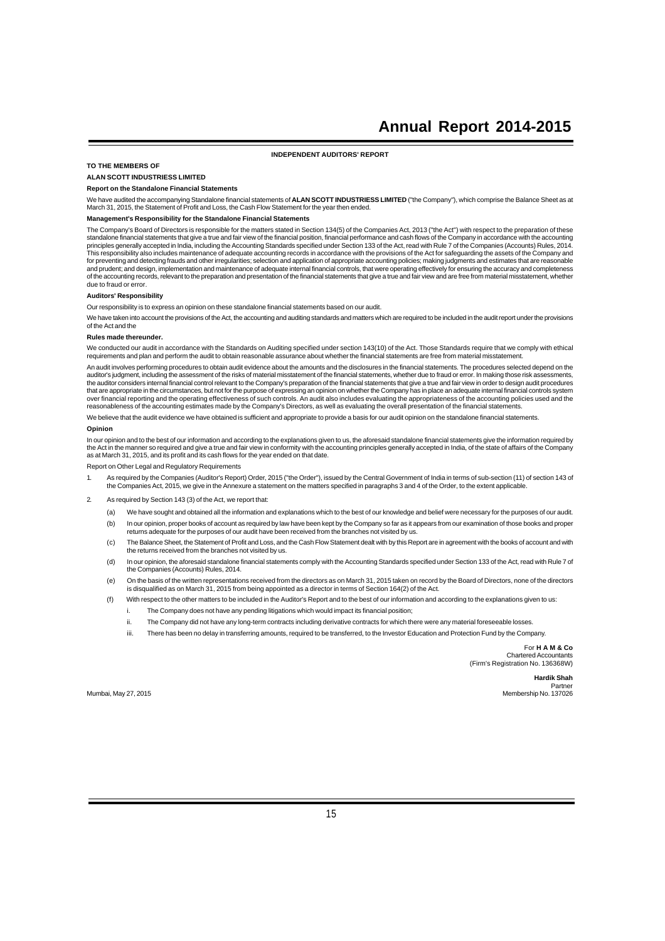**INDEPENDENT AUDITORS' REPORT**

### **TO THE MEMBERS OF**

## **ALAN SCOTT INDUSTRIESS LIMITED**

### **Report on the Standalone Financial Statements**

We have audited the accompanying Standalone financial statements of **ALAN SCOTT INDUSTRIESS LIMITED** ("the Company"), which comprise the Balance Sheet as at<br>March 31, 2015, the Statement of Profit and Loss, the Cash Flow S

### **Management's Responsibility for the Standalone Financial Statements**

The Company's Board of Directors is responsible for the matters stated in Section 134(5) of the Companies Act, 2013 ("the Act") with respect to the preparation of these standalone financial statements that give a true and fair view of the financial position, financial performance and cash flows of the Company in accordance with the accounting<br>principles generally accepted in India, includ and prudent; and design, implementation and maintenance of adequate internal financial controls, that were operating effectively for ensuring the accuracy and completeness<br>of the accounting records, relevant to the prepara due to fraud or error.

#### **Auditors' Responsibility**

Our responsibility is to express an opinion on these standalone financial statements based on our audit.

We have taken into account the provisions of the Act, the accounting and auditing standards and matters which are required to be included in the audit report under the provisions of the Act and the

#### **Rules made thereunder.**

We conducted our audit in accordance with the Standards on Auditing specified under section 143(10) of the Act. Those Standards require that we comply with ethical requirements and plan and perform the audit to obtain reasonable assurance about whether the financial statements are free from material misstatement.

An audit involves performing procedures to obtain audit evidence about the amounts and the disclosures in the financial statements. The procedures selected depend on the auditor's judgment, including the assessment of the risks of material misstatement of the financial statements, whether due to fraud or error. In making those risk assessments, the auditor considers internal financial control relevant to the Company's preparation of the financial statements that give a true and fair view in order to design audit procedures that are appropriate in the circumstances, but not for the purpose of expressing an opinion on whether the Company has in place an adequate internal financial controls system<br>over financial reporting and the operating effe reasonableness of the accounting estimates made by the Company's Directors, as well as evaluating the overall presentation of the financial statements.

We believe that the audit evidence we have obtained is sufficient and appropriate to provide a basis for our audit opinion on the standalone financial statements.

#### **Opinion**

In our opinion and to the best of our information and according to the explanations given to us, the aforesaid standalone financial statements give the information required by the Act in the manner so required and give a true and fair view in conformity with the accounting principles generally accepted in India, of the state of affairs of the Company<br>as at March 31, 2015, and its profit and its

Report on Other Legal and Regulatory Requirements

- 1. As required by the Companies (Auditor's Report) Order, 2015 ("the Order"), issued by the Central Government of India in terms of sub-section (11) of section 143 of the Companies Act, 2015, we give in the Annexure a statement on the matters specified in paragraphs 3 and 4 of the Order, to the extent applicable.
- 2. As required by Section 143 (3) of the Act, we report that:
	- (a) We have sought and obtained all the information and explanations which to the best of our knowledge and belief were necessary for the purposes of our audit.
	- (b) In our opinion, proper books of account as required by law have been kept by the Company so far as it appears from our examination of those books and proper returns adequate for the purposes of our audit have been received from the branches not visited by us.
	- (c) The Balance Sheet, the Statement of Profit and Loss, and the Cash Flow Statement dealt with by this Report are in agreement with the books of account and with the returns received from the branches not visited by us.
	- (d) In our opinion, the aforesaid standalone financial statements comply with the Accounting Standards specified under Section 133 of the Act, read with Rule 7 of the Companies (Accounts) Rules, 2014.
	- (e) On the basis of the written representations received from the directors as on March 31, 2015 taken on record by the Board of Directors, none of the directors is disqualified as on March 31, 2015 from being appointed as a director in terms of Section 164(2) of the Act.
	- (f) With respect to the other matters to be included in the Auditor's Report and to the best of our information and according to the explanations given to us:
		- i. The Company does not have any pending litigations which would impact its financial position;
		- ii. The Company did not have any long-term contracts including derivative contracts for which there were any material foreseeable losses.
		- iii. There has been no delay in transferring amounts, required to be transferred, to the Investor Education and Protection Fund by the Company.

For **H A M & Co** Chartered Account (Firm's Registration No. 136368W)

**Hardik Shah** Partner Mumbai, May 27, 2015 Membership No. 137026

15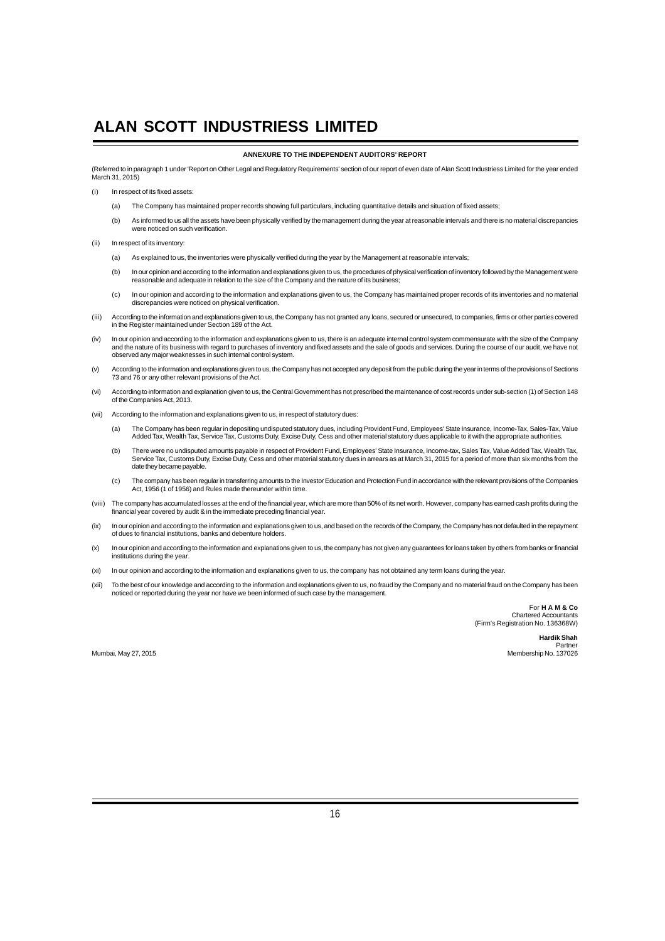### **ANNEXURE TO THE INDEPENDENT AUDITORS' REPORT**

(Referred to in paragraph 1 under 'Report on Other Legal and Regulatory Requirements' section of our report of even date of Alan Scott Industriess Limited for the year ended March 31, 2015)

- (i) In respect of its fixed assets:
	- (a) The Company has maintained proper records showing full particulars, including quantitative details and situation of fixed assets;
	- (b) As informed to us all the assets have been physically verified by the management during the year at reasonable intervals and there is no material discrepancies were noticed on such verification.
- (ii) In respect of its inventory:
	- (a) As explained to us, the inventories were physically verified during the year by the Management at reasonable intervals;
	- (b) In our opinion and according to the information and explanations given to us, the procedures of physical verification of inventory followed by the Management were<br>reasonable and adequate in relation to the size of the
	- (c) In our opinion and according to the information and explanations given to us, the Company has maintained proper records of its inventories and no material discrepancies were noticed on physical verification.
- (iii) According to the information and explanations given to us, the Company has not granted any loans, secured or unsecured, to companies, firms or other parties covered<br>in the Register maintained under Section 189 of the
- (iv) In our opinion and according to the information and explanations given to us, there is an adequate internal control system commensurate with the size of the Company and the nature of its business with regard to purchases of inventory and fixed assets and the sale of goods and services. During the course of our audit, we have not<br>observed any major weaknesses in such internal control s
- (v) According to the information and explanations given to us, the Company has not accepted any deposit from the public during the year in terms of the provisions of Sections<br>73 and 76 or any other relevant provisions of t
- (vi) According to information and explanation given to us, the Central Government has not prescribed the maintenance of cost records under sub-section (1) of Section 148 of the Companies Act, 2013.
- (vii) According to the information and explanations given to us, in respect of statutory dues:
	- (a) The Company has been regular in depositing undisputed statutory dues, including Provident Fund, Employees' State Insurance, Income-Tax, Sales-Tax, Value Added Tax, Wealth Tax, Service Tax, Customs Duty, Excise Duty, Cess and other material statutory dues applicable to it with the appropriate authorities.
	- (b) There were no undisputed amounts payable in respect of Provident Fund, Employees' State Insurance, Income-tax, Sales Tax, Value Added Tax, Wealth Tax,<br>Service Tax, Customs Duty, Excise Duty, Cess and other material sta date they became payable.
	- (c) The company has been regular in transferring amounts to the Investor Education and Protection Fund in accordance with the relevant provisions of the Companies Act, 1956 (1 of 1956) and Rules made thereunder within time.
- (viii) The company has accumulated losses at the end of the financial year, which are more than 50% of its net worth. However, company has earned cash profits during the<br>financial year covered by audit & in the immediate p
- (ix) In our opinion and according to the information and explanations given to us, and based on the records of the Company, the Company has not defaulted in the repayment<br>of dues to financial institutions, banks and debent
- (x) In our opinion and according to the information and explanations given to us, the company has not given any guarantees for loans taken by others from banks or financial institutions during the year.
- (xi) In our opinion and according to the information and explanations given to us, the company has not obtained any term loans during the year.
- (xii) To the best of our knowledge and according to the information and explanations given to us, no fraud by the Company and no material fraud on the Company has been noticed or reported during the year nor have we been informed of such case by the management.

For **H A M & Co** Chartered Accountants (Firm's Registration No. 136368W)

> **Hardik Shah** Partner

Mumbai, May 27, 2015 Membership No. 137026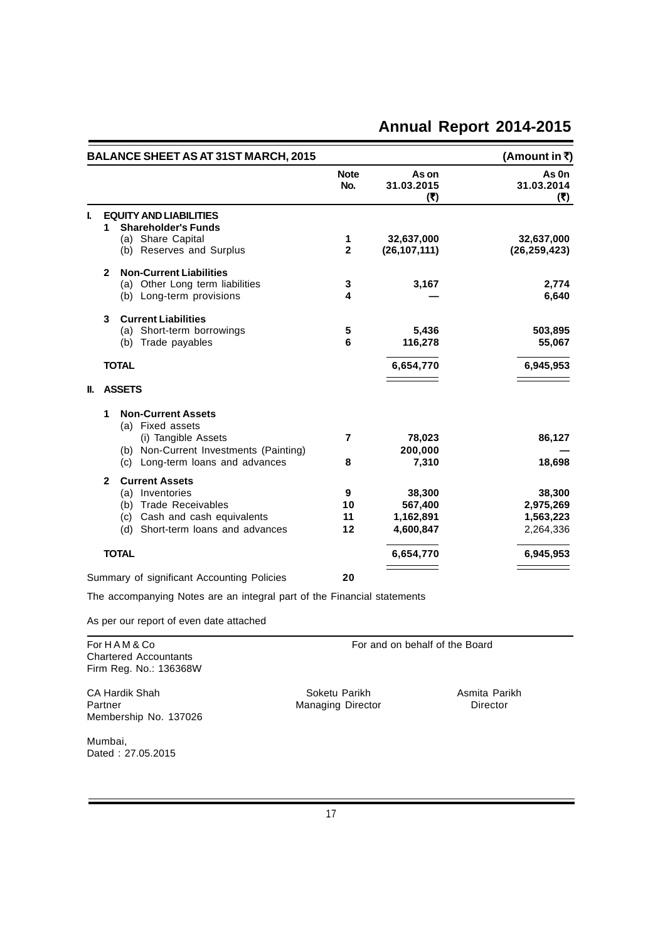| <b>BALANCE SHEET AS AT 31ST MARCH, 2015</b> |                                                                                                                                                         |                     |                                             | (Amount in ₹)                                 |
|---------------------------------------------|---------------------------------------------------------------------------------------------------------------------------------------------------------|---------------------|---------------------------------------------|-----------------------------------------------|
|                                             |                                                                                                                                                         | <b>Note</b><br>No.  | As on<br>31.03.2015<br>(7)                  | As On<br>31.03.2014<br>(7)                    |
| L                                           | <b>EQUITY AND LIABILITIES</b><br><b>Shareholder's Funds</b><br>1<br>(a) Share Capital<br>(b) Reserves and Surplus                                       | 1<br>2              | 32,637,000<br>(26, 107, 111)                | 32,637,000<br>(26, 259, 423)                  |
|                                             | <b>Non-Current Liabilities</b><br>$\mathbf{2}$<br>(a) Other Long term liabilities<br>(b) Long-term provisions                                           | 3<br>4              | 3,167                                       | 2,774<br>6,640                                |
|                                             | <b>Current Liabilities</b><br>3<br>(a) Short-term borrowings<br>(b) Trade payables                                                                      | 5<br>6              | 5,436<br>116,278                            | 503,895<br>55,067                             |
|                                             | <b>TOTAL</b>                                                                                                                                            |                     | 6,654,770                                   | 6,945,953                                     |
| II.                                         | <b>ASSETS</b>                                                                                                                                           |                     |                                             |                                               |
|                                             | <b>Non-Current Assets</b><br>1<br>(a) Fixed assets<br>(i) Tangible Assets<br>(b) Non-Current Investments (Painting)<br>(c) Long-term loans and advances | 7<br>8              | 78,023<br>200,000<br>7,310                  | 86,127<br>18,698                              |
|                                             | <b>Current Assets</b><br>2<br>(a) Inventories<br>(b) Trade Receivables<br>(c) Cash and cash equivalents<br>(d) Short-term loans and advances            | 9<br>10<br>11<br>12 | 38,300<br>567,400<br>1,162,891<br>4,600,847 | 38,300<br>2,975,269<br>1,563,223<br>2,264,336 |
|                                             | <b>TOTAL</b>                                                                                                                                            |                     | 6,654,770                                   | 6,945,953                                     |
|                                             | Summary of significant Accounting Policies                                                                                                              | 20                  |                                             |                                               |
|                                             | The accompanying Notes are an integral part of the Financial statements                                                                                 |                     |                                             |                                               |
|                                             | As per our report of even date attached                                                                                                                 |                     |                                             |                                               |
|                                             | For HAM & Co<br><b>Chartered Accountants</b>                                                                                                            |                     | For and on behalf of the Board              |                                               |

Firm Reg. No.: 136368W CA Hardik Shah Soketu Parikh Asmita Parikh Partner CA Hardik Shah Soketu Parikh Asmita Parikh Partner Care and Managing Director Membership No. 137026

Managing Director

Mumbai, Dated : 27.05.2015

 $\equiv$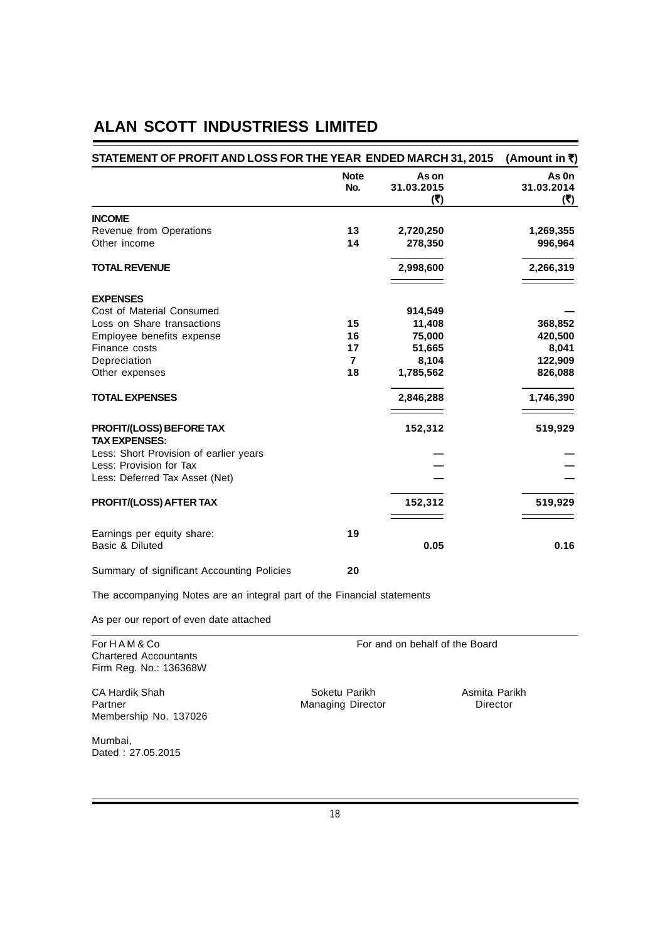| STATEMENT OF PROFIT AND LOSS FOR THE YEAR ENDED MARCH 31, 2015 |                    |                            | (Amount in ₹)              |
|----------------------------------------------------------------|--------------------|----------------------------|----------------------------|
|                                                                | <b>Note</b><br>No. | As on<br>31.03.2015<br>(5) | As 0n<br>31.03.2014<br>(₹) |
| <b>INCOME</b>                                                  |                    |                            |                            |
| Revenue from Operations                                        | 13                 | 2,720,250                  | 1,269,355                  |
| Other income                                                   | 14                 | 278,350                    | 996,964                    |
| <b>TOTAL REVENUE</b>                                           |                    | 2,998,600                  | 2,266,319                  |
| <b>EXPENSES</b>                                                |                    |                            |                            |
| Cost of Material Consumed                                      |                    | 914,549                    |                            |
| Loss on Share transactions                                     | 15                 | 11,408                     | 368,852                    |
| Employee benefits expense                                      | 16                 | 75,000                     | 420,500                    |
| Finance costs                                                  | 17                 | 51,665                     | 8,041                      |
| Depreciation                                                   | $\overline{7}$     | 8,104                      | 122,909                    |
| Other expenses                                                 | 18                 | 1,785,562                  | 826,088                    |
| <b>TOTAL EXPENSES</b>                                          |                    | 2,846,288                  | 1,746,390                  |
| <b>PROFIT/(LOSS) BEFORE TAX</b><br><b>TAX EXPENSES:</b>        |                    | 152,312                    | 519,929                    |
| Less: Short Provision of earlier years                         |                    |                            |                            |
| Less: Provision for Tax                                        |                    |                            |                            |
| Less: Deferred Tax Asset (Net)                                 |                    |                            |                            |
| <b>PROFIT/(LOSS) AFTER TAX</b>                                 |                    | 152,312                    | 519,929                    |
| Earnings per equity share:<br>Basic & Diluted                  | 19                 | 0.05                       | 0.16                       |
| Summary of significant Accounting Policies                     | 20                 |                            |                            |

The accompanying Notes are an integral part of the Financial statements

As per our report of even date attached

| For H A M & Co<br>Chartered Accountants<br>Firm Reg. No.: 136368W |                                           | For and on behalf of the Board |
|-------------------------------------------------------------------|-------------------------------------------|--------------------------------|
| CA Hardik Shah<br>Partner<br>Membership No. 137026                | Soketu Parikh<br><b>Managing Director</b> | Asmita Parikh<br>Director      |
| Mumbai,<br>Dated: 27.05.2015                                      |                                           |                                |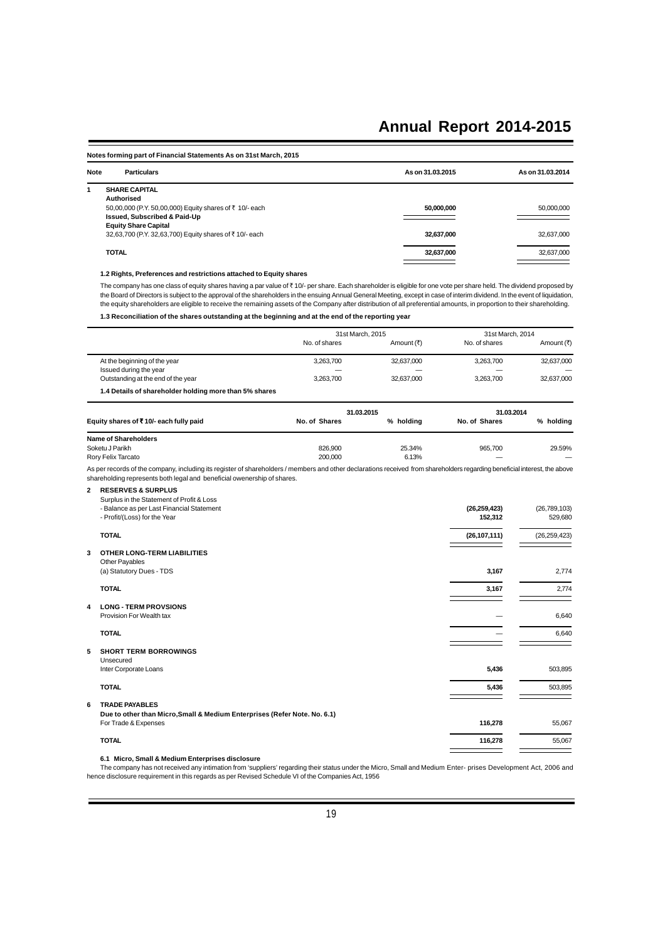### **Notes forming part of Financial Statements As on 31st March, 2015 Note Particulars As on 31.03.2015 As on 31.03.2014 1 SHARE CAPITAL Authorised** 50,00,000 (P.Y. 50,00,000) Equity shares of ` 10/- each **50,000,000** 50,000,000 **Issued, Subscribed & Paid-Up Equity Share Capital** 32,63,700 (P.Y. 32,63,700) Equity shares of ` 10/- each **32,637,000** 32,637,000 **TOTAL 32,637,000** 32,637,000

### **1.2 Rights, Preferences and restrictions attached to Equity shares**

The company has one class of equity shares having a par value of  $*$  10/- per share. Each shareholder is eligible for one vote per share held. The dividend proposed by the Board of Directors is subject to the approval of the shareholders in the ensuing Annual General Meeting, except in case of interim dividend. In the event of liquidation, the equity shareholders are eligible to receive the remaining assets of the Company after distribution of all preferential amounts, in proportion to their shareholding.

**1.3 Reconciliation of the shares outstanding at the beginning and at the end of the reporting year**

|   |                                                                                                                                                                                                                                                       |               | 31st March, 2015 |                | 31st March, 2014 |
|---|-------------------------------------------------------------------------------------------------------------------------------------------------------------------------------------------------------------------------------------------------------|---------------|------------------|----------------|------------------|
|   |                                                                                                                                                                                                                                                       | No. of shares | Amount (₹)       | No. of shares  | Amount (₹)       |
|   | At the beginning of the year                                                                                                                                                                                                                          | 3,263,700     | 32,637,000       | 3,263,700      | 32,637,000       |
|   | Issued during the year                                                                                                                                                                                                                                |               |                  |                |                  |
|   | Outstanding at the end of the year                                                                                                                                                                                                                    | 3,263,700     | 32,637,000       | 3,263,700      | 32,637,000       |
|   | 1.4 Details of shareholder holding more than 5% shares                                                                                                                                                                                                |               |                  |                |                  |
|   |                                                                                                                                                                                                                                                       |               | 31.03.2015       |                | 31.03.2014       |
|   | Equity shares of ₹10/- each fully paid                                                                                                                                                                                                                | No. of Shares | % holding        | No. of Shares  | % holding        |
|   | <b>Name of Shareholders</b>                                                                                                                                                                                                                           |               |                  |                |                  |
|   | Soketu J Parikh                                                                                                                                                                                                                                       | 826,900       | 25.34%           | 965,700        | 29.59%           |
|   | Rory Felix Tarcato                                                                                                                                                                                                                                    | 200,000       | 6.13%            |                |                  |
|   | As per records of the company, including its register of shareholders / members and other declarations received from shareholders regarding beneficial interest, the above<br>shareholding represents both legal and beneficial owenership of shares. |               |                  |                |                  |
| 2 | <b>RESERVES &amp; SURPLUS</b>                                                                                                                                                                                                                         |               |                  |                |                  |
|   | Surplus in the Statement of Profit & Loss                                                                                                                                                                                                             |               |                  |                |                  |
|   | - Balance as per Last Financial Statement                                                                                                                                                                                                             |               |                  | (26, 259, 423) | (26, 789, 103)   |
|   | - Profit/(Loss) for the Year                                                                                                                                                                                                                          |               |                  | 152,312        | 529,680          |
|   | <b>TOTAL</b>                                                                                                                                                                                                                                          |               |                  | (26, 107, 111) | (26, 259, 423)   |
| 3 | <b>OTHER LONG-TERM LIABILITIES</b>                                                                                                                                                                                                                    |               |                  |                |                  |
|   | Other Payables                                                                                                                                                                                                                                        |               |                  |                |                  |
|   | (a) Statutory Dues - TDS                                                                                                                                                                                                                              |               |                  | 3,167          | 2,774            |
|   | <b>TOTAL</b>                                                                                                                                                                                                                                          |               |                  | 3,167          | 2,774            |
|   |                                                                                                                                                                                                                                                       |               |                  |                |                  |
| 4 | <b>LONG - TERM PROVSIONS</b><br>Provision For Wealth tax                                                                                                                                                                                              |               |                  |                | 6,640            |
|   |                                                                                                                                                                                                                                                       |               |                  |                |                  |
|   | <b>TOTAL</b>                                                                                                                                                                                                                                          |               |                  |                | 6,640            |
| 5 | <b>SHORT TERM BORROWINGS</b>                                                                                                                                                                                                                          |               |                  |                |                  |
|   | Unsecured                                                                                                                                                                                                                                             |               |                  |                |                  |
|   | Inter Corporate Loans                                                                                                                                                                                                                                 |               |                  | 5,436          | 503,895          |
|   | <b>TOTAL</b>                                                                                                                                                                                                                                          |               |                  | 5,436          | 503,895          |
| 6 | <b>TRADE PAYABLES</b>                                                                                                                                                                                                                                 |               |                  |                |                  |
|   | Due to other than Micro, Small & Medium Enterprises (Refer Note. No. 6.1)                                                                                                                                                                             |               |                  |                |                  |
|   | For Trade & Expenses                                                                                                                                                                                                                                  |               |                  | 116,278        | 55,067           |
|   | <b>TOTAL</b>                                                                                                                                                                                                                                          |               |                  | 116,278        | 55,067           |
|   |                                                                                                                                                                                                                                                       |               |                  |                |                  |

### **6.1 Micro, Small & Medium Enterprises disclosure**

The company has not received any intimation from 'suppliers' regarding their status under the Micro, Small and Medium Enter- prises Development Act, 2006 and hence disclosure requirement in this regards as per Revised Schedule VI of the Companies Act, 1956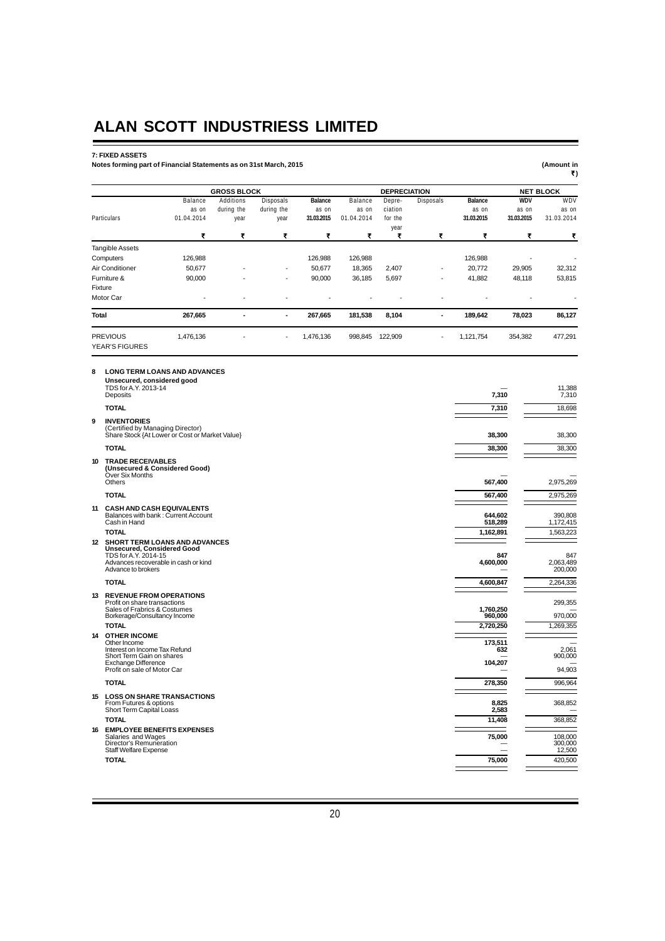### **7: FIXED ASSETS**

#### **Notes forming part of Financial Statements as on 31st March, 2015 (Amount in**

| (Amount in |  |
|------------|--|
| ₹)         |  |

|                                                                                                               |                               | <b>GROSS BLOCK</b> |                  |                |                | <b>DEPRECIATION</b> |                  |                |            | <b>NET BLOCK</b> |
|---------------------------------------------------------------------------------------------------------------|-------------------------------|--------------------|------------------|----------------|----------------|---------------------|------------------|----------------|------------|------------------|
|                                                                                                               | <b>Balance</b>                | Additions          | <b>Disposals</b> | <b>Balance</b> | <b>Balance</b> | Depre-              | <b>Disposals</b> | <b>Balance</b> | <b>WDV</b> | WDV              |
|                                                                                                               | as on                         | during the         | during the       | as on          | as on          | ciation             |                  | as on          | as on      | as on            |
| Particulars                                                                                                   | 01.04.2014                    | year               | year             | 31.03.2015     | 01.04.2014     | for the             |                  | 31.03.2015     | 31.03.2015 | 31.03.2014       |
|                                                                                                               | ₹                             | ₹                  | ₹                | ₹              | ₹              | year<br>₹           | ₹                | ₹              | ₹          | ₹                |
| <b>Tangible Assets</b>                                                                                        |                               |                    |                  |                |                |                     |                  |                |            |                  |
| Computers                                                                                                     | 126,988                       |                    |                  | 126,988        | 126,988        |                     |                  | 126,988        |            |                  |
| Air Conditioner                                                                                               | 50.677                        |                    |                  | 50,677         | 18,365         | 2,407               |                  | 20,772         | 29,905     | 32,312           |
| Furniture &                                                                                                   | 90,000                        |                    |                  | 90,000         | 36,185         | 5,697               |                  | 41,882         | 48,118     | 53,815           |
| Fixture                                                                                                       |                               |                    |                  |                |                |                     |                  |                |            |                  |
| Motor Car                                                                                                     |                               |                    |                  |                |                |                     |                  |                |            |                  |
| <b>Total</b>                                                                                                  | 267,665                       |                    | $\blacksquare$   | 267,665        | 181,538        | 8,104               | ٠                | 189,642        | 78,023     | 86,127           |
| <b>PREVIOUS</b>                                                                                               | 1,476,136                     |                    |                  | 1,476,136      | 998,845        | 122,909             |                  | 1,121,754      | 354,382    | 477,291          |
| <b>YEAR'S FIGURES</b>                                                                                         |                               |                    |                  |                |                |                     |                  |                |            |                  |
| <b>LONG TERM LOANS AND ADVANCES</b><br>8<br>Unsecured, considered good<br>TDS for A.Y. 2013-14<br>Deposits    |                               |                    |                  |                |                |                     |                  |                | 7,310      | 11,388<br>7,310  |
| <b>TOTAL</b>                                                                                                  |                               |                    |                  |                |                |                     |                  |                | 7,310      | 18,698           |
| <b>INVENTORIES</b><br>9<br>(Certified by Managing Director)<br>Share Stock {At Lower or Cost or Market Value} |                               |                    |                  |                |                |                     |                  |                | 38,300     | 38,300           |
| <b>TOTAL</b>                                                                                                  |                               |                    |                  |                |                |                     |                  |                | 38,300     | 38,300           |
| <b>TRADE RECEIVABLES</b><br>10                                                                                | (Unsecured & Considered Good) |                    |                  |                |                |                     |                  |                |            |                  |

|    | Over Six Months<br>Others                                                                                                                                   | 567.400                   | 2,975,269                    |
|----|-------------------------------------------------------------------------------------------------------------------------------------------------------------|---------------------------|------------------------------|
|    | <b>TOTAL</b>                                                                                                                                                | 567,400                   | 2,975,269                    |
| 11 | <b>CASH AND CASH EQUIVALENTS</b><br>Balances with bank: Current Account<br>Cash in Hand                                                                     | 644.602<br>518,289        | 390,808<br>1,172,415         |
|    | <b>TOTAL</b>                                                                                                                                                | 1,162,891                 | 1,563,223                    |
|    | 12 SHORT TERM LOANS AND ADVANCES<br><b>Unsecured, Considered Good</b><br>TDS for A.Y. 2014-15<br>Advances recoverable in cash or kind<br>Advance to brokers | 847<br>4,600,000          | 847<br>2,063,489<br>200,000  |
|    | <b>TOTAL</b>                                                                                                                                                | 4,600,847                 | 2,264,336                    |
| 13 | <b>REVENUE FROM OPERATIONS</b><br>Profit on share transactions<br>Sales of Frabrics & Costumes<br>Borkerage/Consultancy Income                              | 1,760,250<br>960,000      | 299,355<br>970,000           |
|    | <b>TOTAL</b>                                                                                                                                                | 2,720,250                 | 1,269,355                    |
| 14 | <b>OTHER INCOME</b><br>Other Income<br>Interest on Income Tax Refund<br>Short Term Gain on shares<br>Exchange Difference<br>Profit on sale of Motor Car     | 173,511<br>632<br>104,207 | 2,061<br>900,000<br>94.903   |
|    | <b>TOTAL</b>                                                                                                                                                | 278,350                   | 996,964                      |
| 15 | <b>LOSS ON SHARE TRANSACTIONS</b><br>From Futures & options<br>Short Term Capital Loass<br><b>TOTAL</b>                                                     | 8,825<br>2,583<br>11,408  | 368.852<br>368.852           |
|    | <b>EMPLOYEE BENEFITS EXPENSES</b>                                                                                                                           |                           |                              |
| 16 | Salaries and Wages<br>Director's Remuneration<br>Staff Welfare Expense                                                                                      | 75,000                    | 108,000<br>300,000<br>12,500 |
|    | <b>TOTAL</b>                                                                                                                                                | 75.000                    | 420,500                      |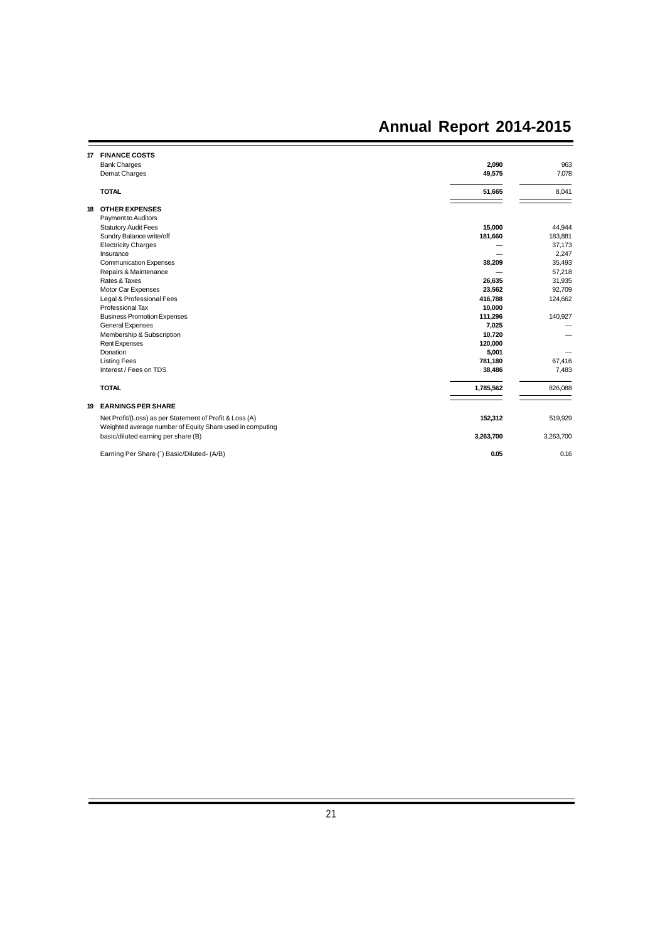$=$ 

| 17 | <b>FINANCE COSTS</b>                                                                                                 |           |           |
|----|----------------------------------------------------------------------------------------------------------------------|-----------|-----------|
|    | <b>Bank Charges</b>                                                                                                  | 2,090     | 963       |
|    | Demat Charges                                                                                                        | 49,575    | 7,078     |
|    | <b>TOTAL</b>                                                                                                         | 51,665    | 8,041     |
| 18 | <b>OTHER EXPENSES</b>                                                                                                |           |           |
|    | Payment to Auditors                                                                                                  |           |           |
|    | <b>Statutory Audit Fees</b>                                                                                          | 15,000    | 44,944    |
|    | Sundry Balance write/off                                                                                             | 181,660   | 183,881   |
|    | <b>Electricity Charges</b>                                                                                           |           | 37,173    |
|    | Insurance                                                                                                            |           | 2,247     |
|    | <b>Communication Expenses</b>                                                                                        | 38,209    | 35,493    |
|    | Repairs & Maintenance                                                                                                |           | 57,218    |
|    | Rates & Taxes                                                                                                        | 26,635    | 31,935    |
|    | Motor Car Expenses                                                                                                   | 23,562    | 92,709    |
|    | Legal & Professional Fees                                                                                            | 416,788   | 124,662   |
|    | Professional Tax                                                                                                     | 10,000    |           |
|    | <b>Business Promotion Expenses</b>                                                                                   | 111,296   | 140,927   |
|    | General Expenses                                                                                                     | 7,025     |           |
|    | Membership & Subscription                                                                                            | 10,720    |           |
|    | <b>Rent Expenses</b>                                                                                                 | 120,000   |           |
|    | Donation                                                                                                             | 5,001     |           |
|    | <b>Listing Fees</b>                                                                                                  | 781,180   | 67,416    |
|    | Interest / Fees on TDS                                                                                               | 38,486    | 7,483     |
|    | <b>TOTAL</b>                                                                                                         | 1,785,562 | 826,088   |
| 19 | <b>EARNINGS PER SHARE</b>                                                                                            |           |           |
|    | Net Profit/(Loss) as per Statement of Profit & Loss (A)<br>Weighted average number of Equity Share used in computing | 152,312   | 519,929   |
|    | basic/diluted earning per share (B)                                                                                  | 3,263,700 | 3,263,700 |
|    | Earning Per Share (`) Basic/Diluted- (A/B)                                                                           | 0.05      | 0.16      |

 $\equiv$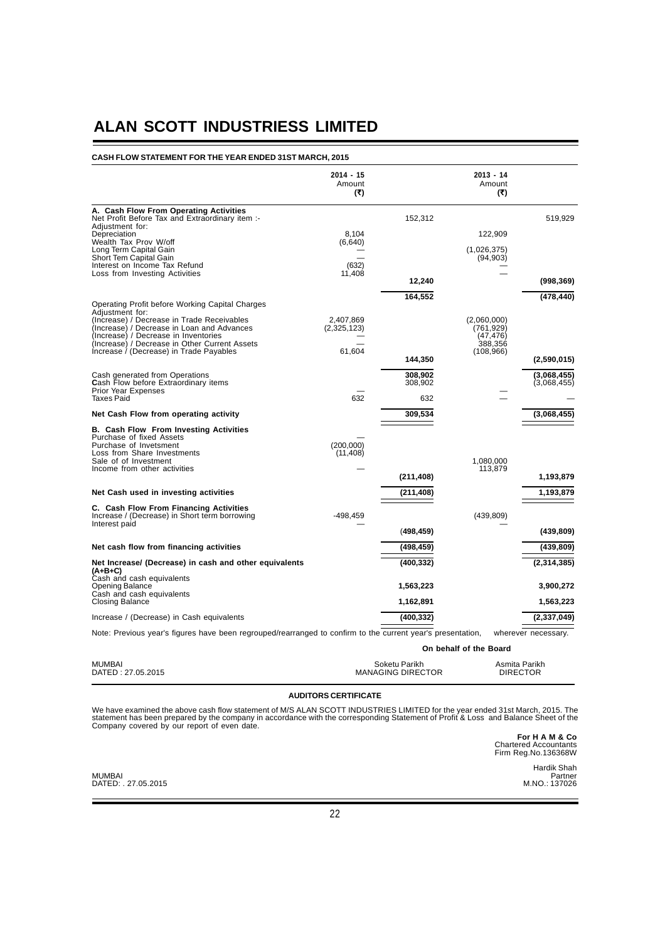### **CASH FLOW STATEMENT FOR THE YEAR ENDED 31ST MARCH, 2015**

|                                                                                                                                                                                             | $2014 - 15$<br>Amount<br>(3) |                 | $2013 - 14$<br>Amount<br>(3) |                     |
|---------------------------------------------------------------------------------------------------------------------------------------------------------------------------------------------|------------------------------|-----------------|------------------------------|---------------------|
| A. Cash Flow From Operating Activities<br>Net Profit Before Tax and Extraordinary item :-                                                                                                   |                              | 152,312         |                              | 519,929             |
| Adjustment for:                                                                                                                                                                             |                              |                 |                              |                     |
| Depreciation<br>Wealth Tax Prov W/off                                                                                                                                                       | 8.104<br>(6,640)             |                 | 122,909                      |                     |
| Long Term Capital Gain<br>Short Tem Capital Gain                                                                                                                                            |                              |                 | (1,026,375)<br>(94, 903)     |                     |
| Interest on Income Tax Refund                                                                                                                                                               | (632)                        |                 |                              |                     |
| Loss from Investing Activities                                                                                                                                                              | 11,408                       | 12,240          |                              | (998, 369)          |
|                                                                                                                                                                                             |                              | 164,552         |                              | (478, 440)          |
| Operating Profit before Working Capital Charges<br>Adjustment for:                                                                                                                          |                              |                 |                              |                     |
| (Increase) / Decrease in Trade Receivables                                                                                                                                                  | 2,407,869                    |                 | (2,060,000)                  |                     |
| (Increase) / Decrease in Loan and Advances<br>(Increase) / Decrease in Inventories                                                                                                          | (2,325,123)                  |                 | (761,929)<br>(47, 476)       |                     |
| (Increase) / Decrease in Other Current Assets<br>Increase / (Decrease) in Trade Payables                                                                                                    | 61,604                       |                 | 388,356                      |                     |
|                                                                                                                                                                                             |                              | 144,350         | (108, 966)                   | (2,590,015)         |
| Cash generated from Operations                                                                                                                                                              |                              | 308,902         |                              | (3,068,455)         |
| Cash Flow before Extraordinary items<br><b>Prior Year Expenses</b>                                                                                                                          |                              | 308,902         |                              | (3,068,455)         |
| Taxes Paid                                                                                                                                                                                  | 632                          | 632             |                              |                     |
| Net Cash Flow from operating activity                                                                                                                                                       |                              | 309,534         |                              | (3,068,455)         |
| <b>B. Cash Flow From Investing Activities</b><br>Purchase of fixed Assets<br>Purchase of Invetsment<br>Loss from Share Investments<br>Sale of of Investment<br>Income from other activities | (200,000)<br>(11, 408)       | (211, 408)      | 1,080,000<br>113,879         | 1,193,879           |
| Net Cash used in investing activities                                                                                                                                                       |                              | (211,408)       |                              | 1,193,879           |
| C. Cash Flow From Financing Activities<br>Increase / (Decrease) in Short term borrowing                                                                                                     | $-498,459$                   |                 | (439, 809)                   |                     |
| Interest paid                                                                                                                                                                               |                              | (498, 459)      |                              | (439, 809)          |
| Net cash flow from financing activities                                                                                                                                                     |                              | (498,459)       |                              | (439, 809)          |
|                                                                                                                                                                                             |                              |                 |                              |                     |
| Net Increase/ (Decrease) in cash and other equivalents<br>(A+B+C)<br>Cash and cash equivalents                                                                                              |                              | (400, 332)      |                              | (2,314,385)         |
| <b>Opening Balance</b><br>Cash and cash equivalents                                                                                                                                         |                              | 1,563,223       |                              | 3,900,272           |
| Closing Balance                                                                                                                                                                             |                              | 1,162,891       |                              | 1,563,223           |
| Increase / (Decrease) in Cash equivalents                                                                                                                                                   |                              | (400, 332)      |                              | (2,337,049)         |
| Note: Previous year's figures have been regrouped/rearranged to confirm to the current year's presentation,                                                                                 |                              |                 |                              | wherever necessary. |
|                                                                                                                                                                                             |                              |                 | On behalf of the Board       |                     |
| MI IMP AI                                                                                                                                                                                   |                              | Colcotu Dorilch |                              | Anmite Dorich       |

MUMBAI Soketu Parikh Asmita Parikh DATED : 27.05.2015 MANAGING DIRECTOR DIRECTOR

### **AUDITORS CERTIFICATE**

We have examined the above cash flow statement of M/S ALAN SCOTT INDUSTRIES LIMITED for the year ended 31st March, 2015. The<br>statement has been prepared by the company in accordance with the corresponding Statement of Prof

**For H A M & Co** Chartered Accountants Firm Reg.No.136368W

MUMBAI Partner DATED: . 27.05.2015 M.NO.: 137026

Hardik Shah<br>Partner<br>M.NO.: 137026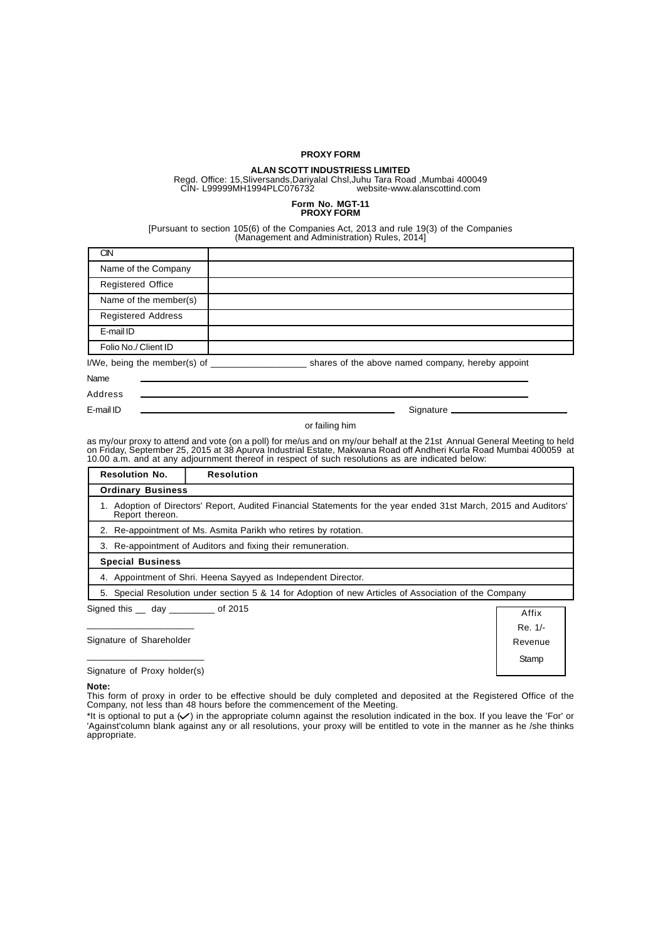### **PROXY FORM**

## **ALAN SCOTT INDUSTRIESS LIMITED**

Regd. Office: 15,Sliversands,Dariyalal Chsl,Juhu Tara Road ,Mumbai 400049 CIN- L99999MH1994PLC076732 website-www.alanscottind.com

### **Form No. MGT-11 PROXY FORM**

[Pursuant to section 105(6) of the Companies Act, 2013 and rule 19(3) of the Companies (Management and Administration) Rules, 2014]

| CIN                          |                                                   |
|------------------------------|---------------------------------------------------|
| Name of the Company          |                                                   |
| <b>Registered Office</b>     |                                                   |
| Name of the member(s)        |                                                   |
| <b>Registered Address</b>    |                                                   |
| E-mail ID                    |                                                   |
| Folio No./ Client ID         |                                                   |
| I/We, being the member(s) of | shares of the above named company, hereby appoint |
| Name                         |                                                   |
| <b>Address</b>               |                                                   |
| E-mail ID                    | Signature ____                                    |

or failing him

as my/our proxy to attend and vote (on a poll) for me/us and on my/our behalf at the 21st Annual General Meeting to held<br>on Friday, September 25, 2015 at 38 Apurva Industrial Estate, Makwana Road off Andheri Kurla Road Mum 10.00 a.m. and at any adjournment thereof in respect of such resolutions as are indicated below:

| <b>Resolution No.</b>                                                                                    | <b>Resolution</b>                                                                                             |                  |  |  |  |
|----------------------------------------------------------------------------------------------------------|---------------------------------------------------------------------------------------------------------------|------------------|--|--|--|
| <b>Ordinary Business</b>                                                                                 |                                                                                                               |                  |  |  |  |
| Report thereon.                                                                                          | Adoption of Directors' Report, Audited Financial Statements for the year ended 31st March, 2015 and Auditors' |                  |  |  |  |
|                                                                                                          | 2. Re-appointment of Ms. Asmita Parikh who retires by rotation.                                               |                  |  |  |  |
|                                                                                                          | 3. Re-appointment of Auditors and fixing their remuneration.                                                  |                  |  |  |  |
| <b>Special Business</b>                                                                                  |                                                                                                               |                  |  |  |  |
| 4. Appointment of Shri. Heena Sayyed as Independent Director.                                            |                                                                                                               |                  |  |  |  |
| Special Resolution under section 5 & 14 for Adoption of new Articles of Association of the Company<br>5. |                                                                                                               |                  |  |  |  |
| Signed this ___ day __________ of 2015                                                                   |                                                                                                               | Affix<br>Re. 1/- |  |  |  |
|                                                                                                          | Signature of Shareholder<br>Revenue                                                                           |                  |  |  |  |

\_\_\_\_\_\_\_\_\_\_\_\_\_\_\_\_\_\_\_\_\_\_\_ Signature of Proxy holder(s)

**Note:**

This form of proxy in order to be effective should be duly completed and deposited at the Registered Office of the Company, not less than 48 hours before the commencement of the Meeting.

**Stamp** 

\*It is optional to put a  $(V)$  in the appropriate column against the resolution indicated in the box. If you leave the 'For' or 'Against'column blank against any or all resolutions, your proxy will be entitled to vote in the manner as he /she thinks appropriate.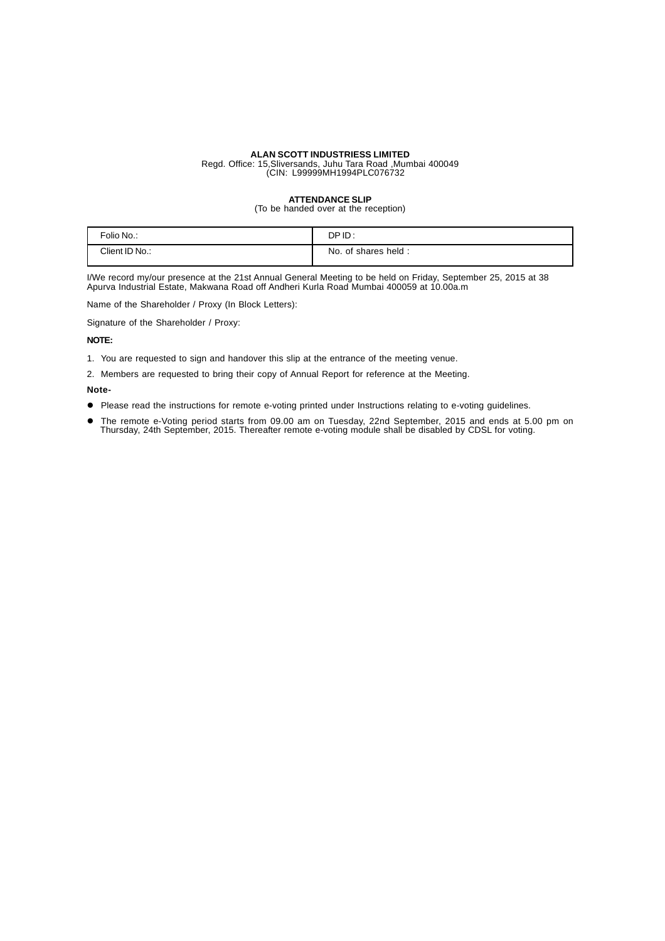Regd. Office: 15,Sliversands, Juhu Tara Road ,Mumbai 400049 (CIN: L99999MH1994PLC076732

## **ATTENDANCE SLIP**

(To be handed over at the reception)

| Folio No.:     | DPID:                  |
|----------------|------------------------|
| Client ID No.: | No.<br>of shares held: |

I/We record my/our presence at the 21st Annual General Meeting to be held on Friday, September 25, 2015 at 38 Apurva Industrial Estate, Makwana Road off Andheri Kurla Road Mumbai 400059 at 10.00a.m

Name of the Shareholder / Proxy (In Block Letters):

Signature of the Shareholder / Proxy:

### **NOTE:**

1. You are requested to sign and handover this slip at the entrance of the meeting venue.

2. Members are requested to bring their copy of Annual Report for reference at the Meeting.

### **Note-**

- Please read the instructions for remote e-voting printed under Instructions relating to e-voting guidelines.
- z The remote e-Voting period starts from 09.00 am on Tuesday, 22nd September, 2015 and ends at 5.00 pm on Thursday, 24th September, 2015. Thereafter remote e-voting module shall be disabled by CDSL for voting.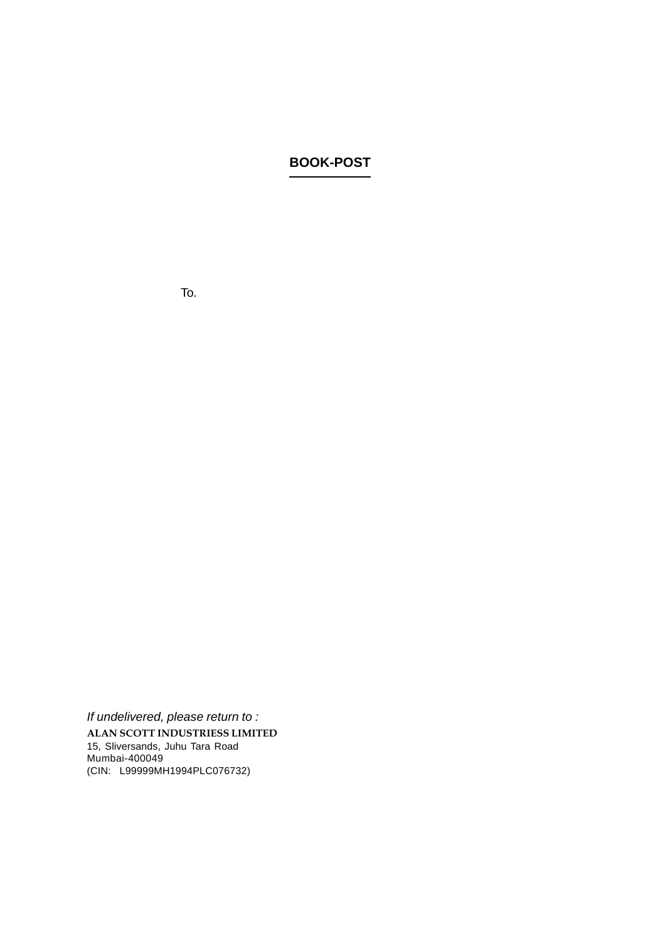## **BOOK-POST**

 $\sim 10^{-1}$  $\chi^2$  .  $\mathcal{A}^{\mathrm{max}}$  $\sim 10$ 

To.

*If undelivered, please return to :* **ALAN SCOTT INDUSTRIESS LIMITED** 15, Sliversands, Juhu Tara Road Mumbai-400049 (CIN: L99999MH1994PLC076732)